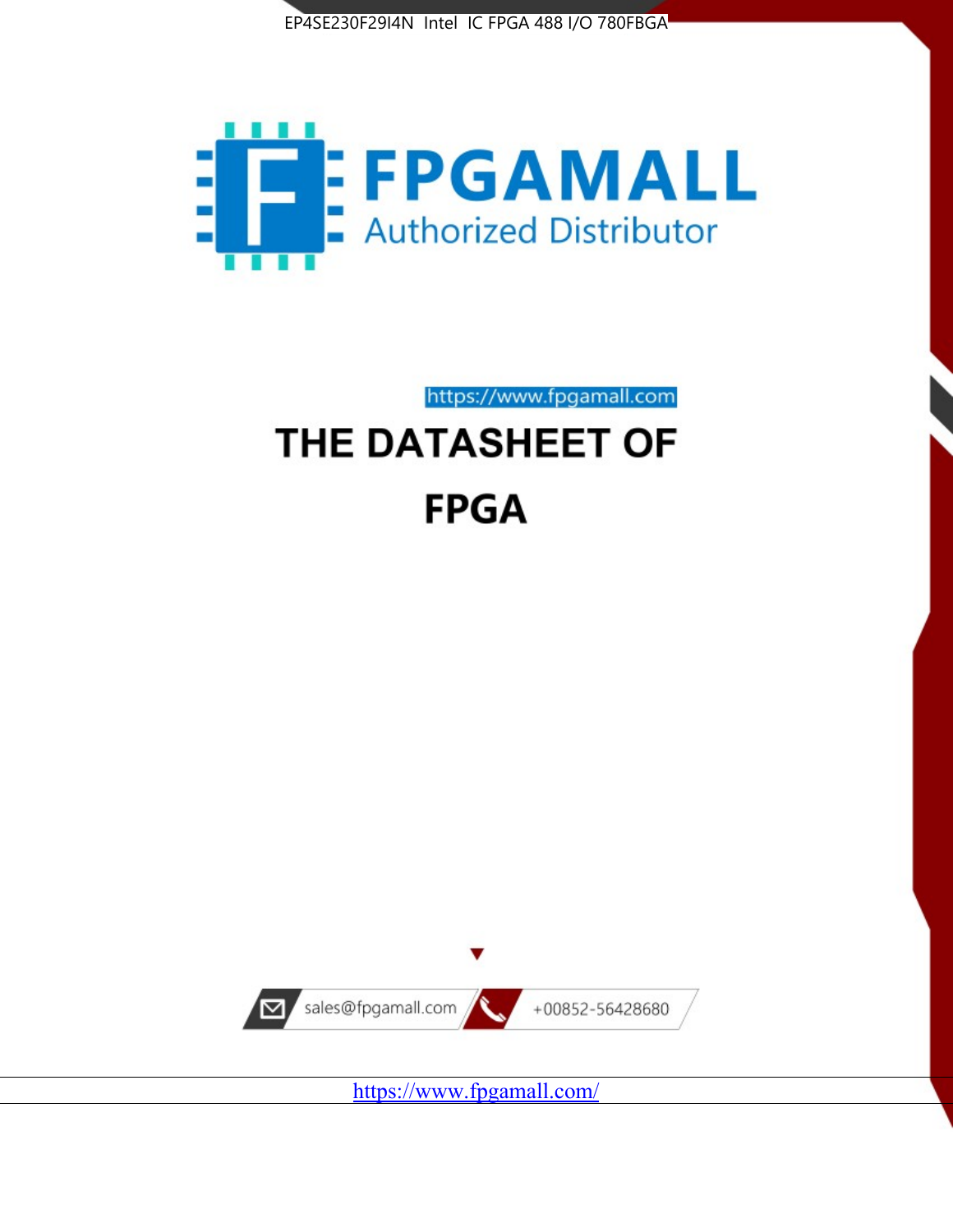



https://www.fpgamall.com THE DATASHEET OF

# **FPGA**



<https://www.fpgamall.com/>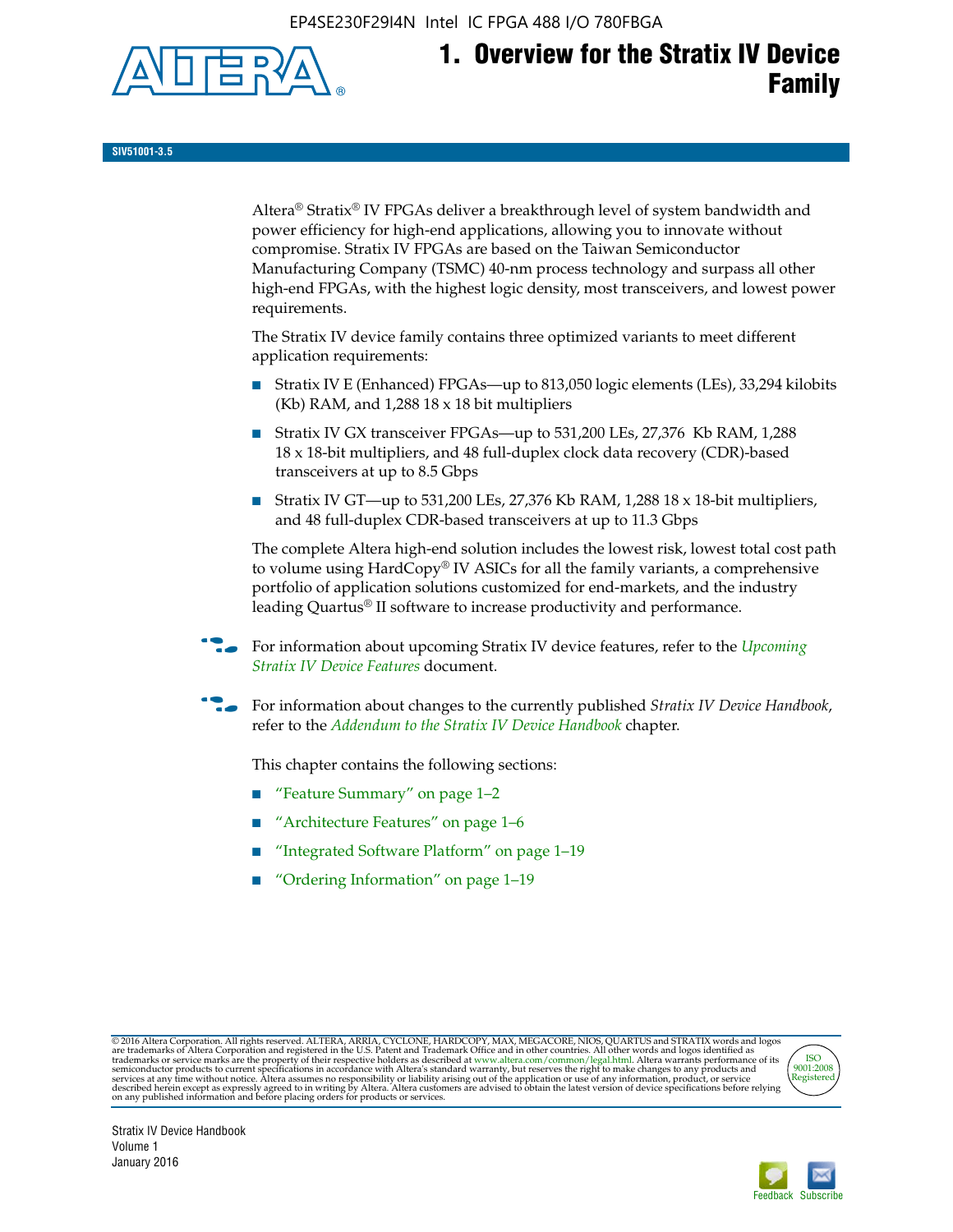EP4SE230F29I4N Intel IC FPGA 488 I/O 780FBGA



**SIV51001-3.5**

Altera® Stratix® IV FPGAs deliver a breakthrough level of system bandwidth and power efficiency for high-end applications, allowing you to innovate without compromise. Stratix IV FPGAs are based on the Taiwan Semiconductor Manufacturing Company (TSMC) 40-nm process technology and surpass all other high-end FPGAs, with the highest logic density, most transceivers, and lowest power requirements.

The Stratix IV device family contains three optimized variants to meet different application requirements:

- Stratix IV E (Enhanced) FPGAs—up to 813,050 logic elements (LEs), 33,294 kilobits (Kb) RAM, and 1,288 18 x 18 bit multipliers
- Stratix IV GX transceiver FPGAs—up to 531,200 LEs, 27,376 Kb RAM, 1,288 18 x 18-bit multipliers, and 48 full-duplex clock data recovery (CDR)-based transceivers at up to 8.5 Gbps
- Stratix IV GT—up to 531,200 LEs, 27,376 Kb RAM, 1,288 18 x 18-bit multipliers, and 48 full-duplex CDR-based transceivers at up to 11.3 Gbps

The complete Altera high-end solution includes the lowest risk, lowest total cost path to volume using HardCopy® IV ASICs for all the family variants, a comprehensive portfolio of application solutions customized for end-markets, and the industry leading Quartus® II software to increase productivity and performance.

For information about upcoming Stratix IV device features, refer to the *Upcoming [Stratix IV Device Features](http://www.altera.com/literature/hb/stratix-iv/uf01001.pdf?GSA_pos=2&WT.oss_r=1&WT.oss=upcoming)* document.

f For information about changes to the currently published *Stratix IV Device Handbook*, refer to the *[Addendum to the Stratix IV Device Handbook](http://www.altera.com/literature/hb/stratix-iv/stx4_siv54002.pdf)* chapter.

This chapter contains the following sections:

- "Feature Summary" on page 1–2
- "Architecture Features" on page 1–6
- "Integrated Software Platform" on page 1-19
- "Ordering Information" on page 1–19

@2016 Altera Corporation. All rights reserved. ALTERA, ARRIA, CYCLONE, HARDCOPY, MAX, MEGACORE, NIOS, QUARTUS and STRATIX words and logos are trademarks of Altera Corporation and registered in the U.S. Patent and Trademark



Stratix IV Device Handbook Volume 1 January 2016

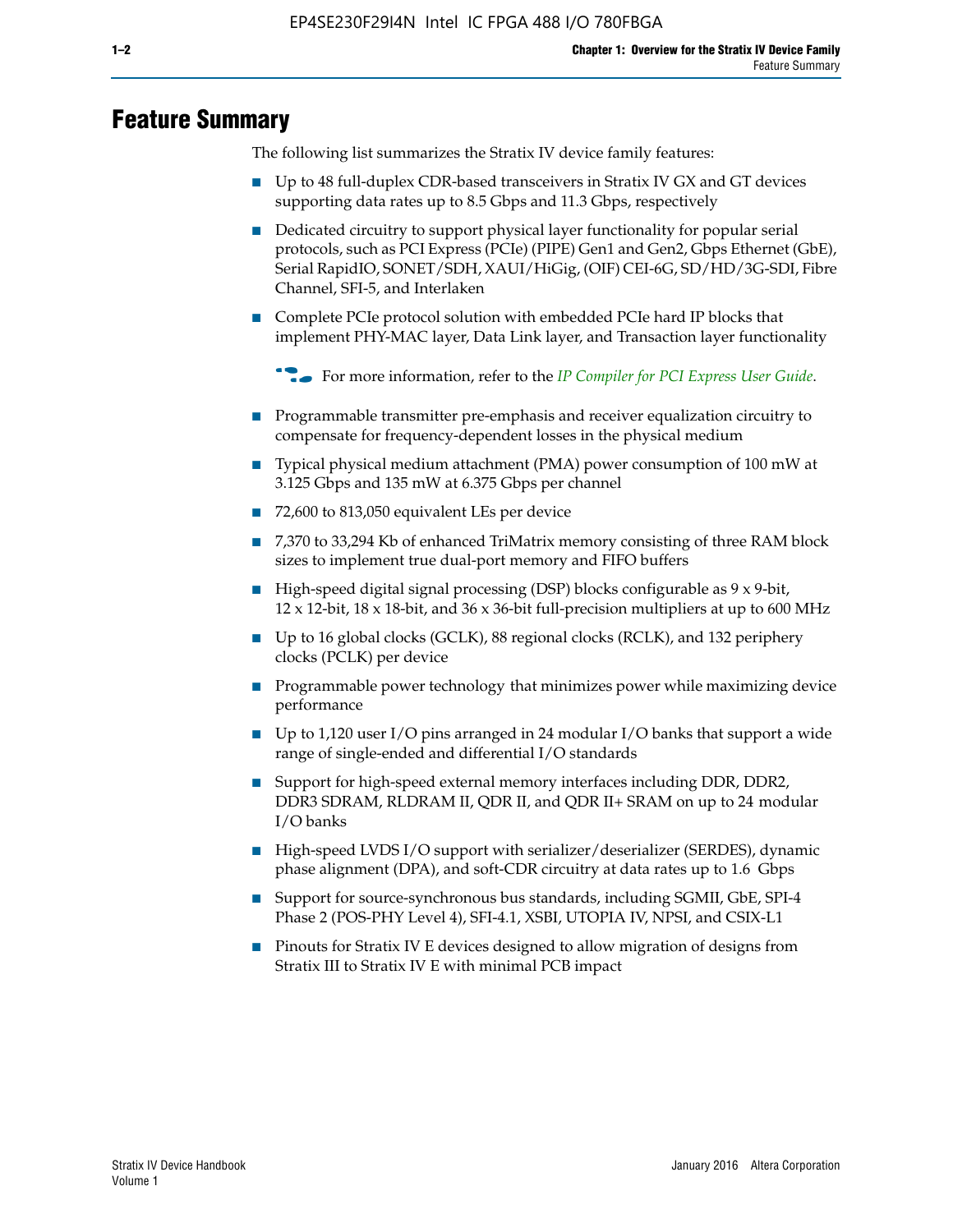# **Feature Summary**

The following list summarizes the Stratix IV device family features:

- Up to 48 full-duplex CDR-based transceivers in Stratix IV GX and GT devices supporting data rates up to 8.5 Gbps and 11.3 Gbps, respectively
- Dedicated circuitry to support physical layer functionality for popular serial protocols, such as PCI Express (PCIe) (PIPE) Gen1 and Gen2, Gbps Ethernet (GbE), Serial RapidIO, SONET/SDH, XAUI/HiGig, (OIF) CEI-6G, SD/HD/3G-SDI, Fibre Channel, SFI-5, and Interlaken
- Complete PCIe protocol solution with embedded PCIe hard IP blocks that implement PHY-MAC layer, Data Link layer, and Transaction layer functionality

**For more information, refer to the** *[IP Compiler for PCI Express User Guide](http://www.altera.com/literature/ug/ug_pci_express.pdf)***.** 

- Programmable transmitter pre-emphasis and receiver equalization circuitry to compensate for frequency-dependent losses in the physical medium
- Typical physical medium attachment (PMA) power consumption of 100 mW at 3.125 Gbps and 135 mW at 6.375 Gbps per channel
- 72,600 to 813,050 equivalent LEs per device
- 7,370 to 33,294 Kb of enhanced TriMatrix memory consisting of three RAM block sizes to implement true dual-port memory and FIFO buffers
- High-speed digital signal processing (DSP) blocks configurable as 9 x 9-bit,  $12 \times 12$ -bit,  $18 \times 18$ -bit, and  $36 \times 36$ -bit full-precision multipliers at up to 600 MHz
- Up to 16 global clocks (GCLK), 88 regional clocks (RCLK), and 132 periphery clocks (PCLK) per device
- Programmable power technology that minimizes power while maximizing device performance
- Up to 1,120 user I/O pins arranged in 24 modular I/O banks that support a wide range of single-ended and differential I/O standards
- Support for high-speed external memory interfaces including DDR, DDR2, DDR3 SDRAM, RLDRAM II, QDR II, and QDR II+ SRAM on up to 24 modular I/O banks
- High-speed LVDS I/O support with serializer/deserializer (SERDES), dynamic phase alignment (DPA), and soft-CDR circuitry at data rates up to 1.6 Gbps
- Support for source-synchronous bus standards, including SGMII, GbE, SPI-4 Phase 2 (POS-PHY Level 4), SFI-4.1, XSBI, UTOPIA IV, NPSI, and CSIX-L1
- Pinouts for Stratix IV E devices designed to allow migration of designs from Stratix III to Stratix IV E with minimal PCB impact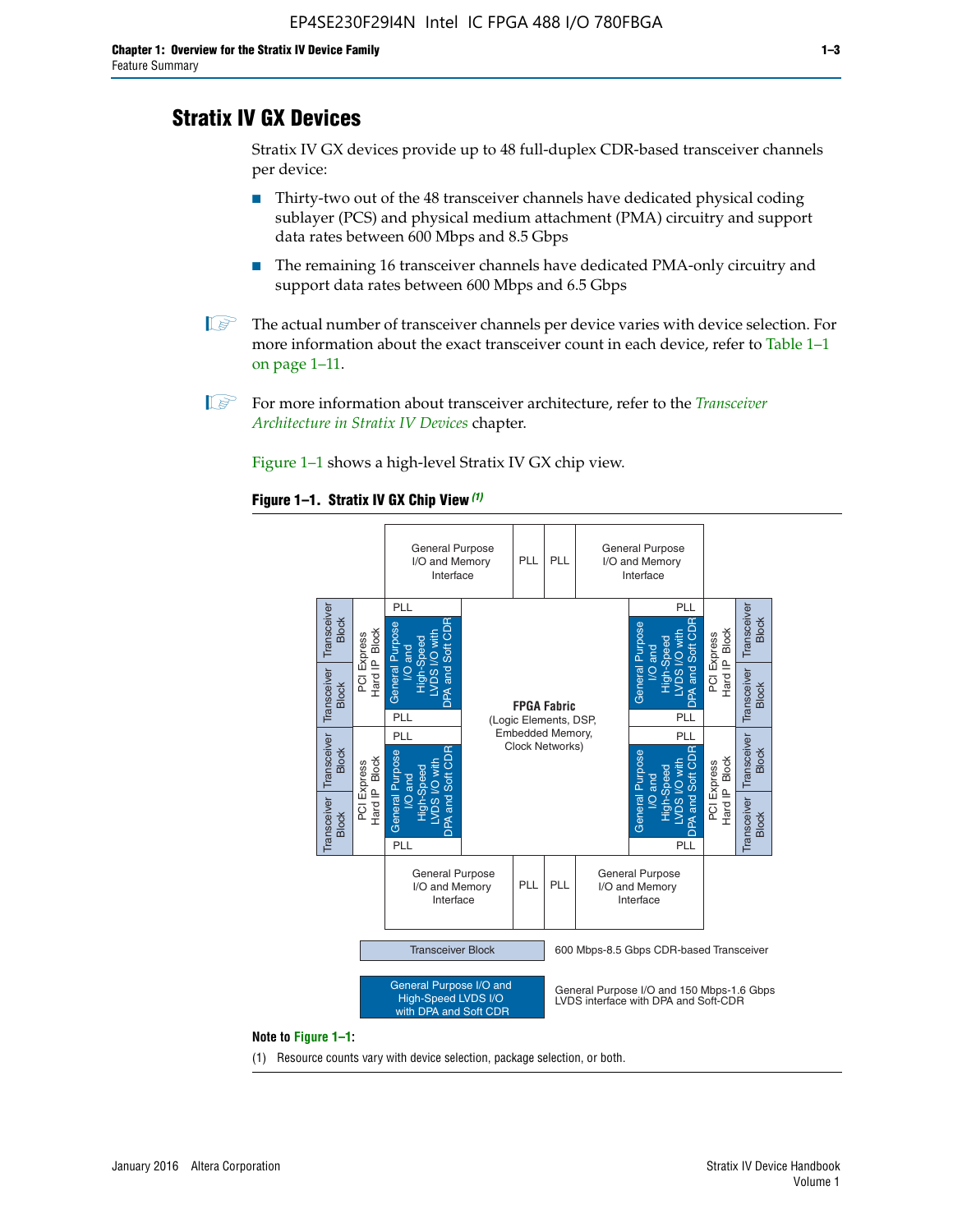# **Stratix IV GX Devices**

Stratix IV GX devices provide up to 48 full-duplex CDR-based transceiver channels per device:

- Thirty-two out of the 48 transceiver channels have dedicated physical coding sublayer (PCS) and physical medium attachment (PMA) circuitry and support data rates between 600 Mbps and 8.5 Gbps
- The remaining 16 transceiver channels have dedicated PMA-only circuitry and support data rates between 600 Mbps and 6.5 Gbps
- **1 The actual number of transceiver channels per device varies with device selection. For** more information about the exact transceiver count in each device, refer to Table 1–1 on page 1–11.
- 1 For more information about transceiver architecture, refer to the *[Transceiver](http://www.altera.com/literature/hb/stratix-iv/stx4_siv52001.pdf)  [Architecture in Stratix IV Devices](http://www.altera.com/literature/hb/stratix-iv/stx4_siv52001.pdf)* chapter.

Figure 1–1 shows a high-level Stratix IV GX chip view.

#### **Figure 1–1. Stratix IV GX Chip View** *(1)*



#### **Note to Figure 1–1:**

(1) Resource counts vary with device selection, package selection, or both.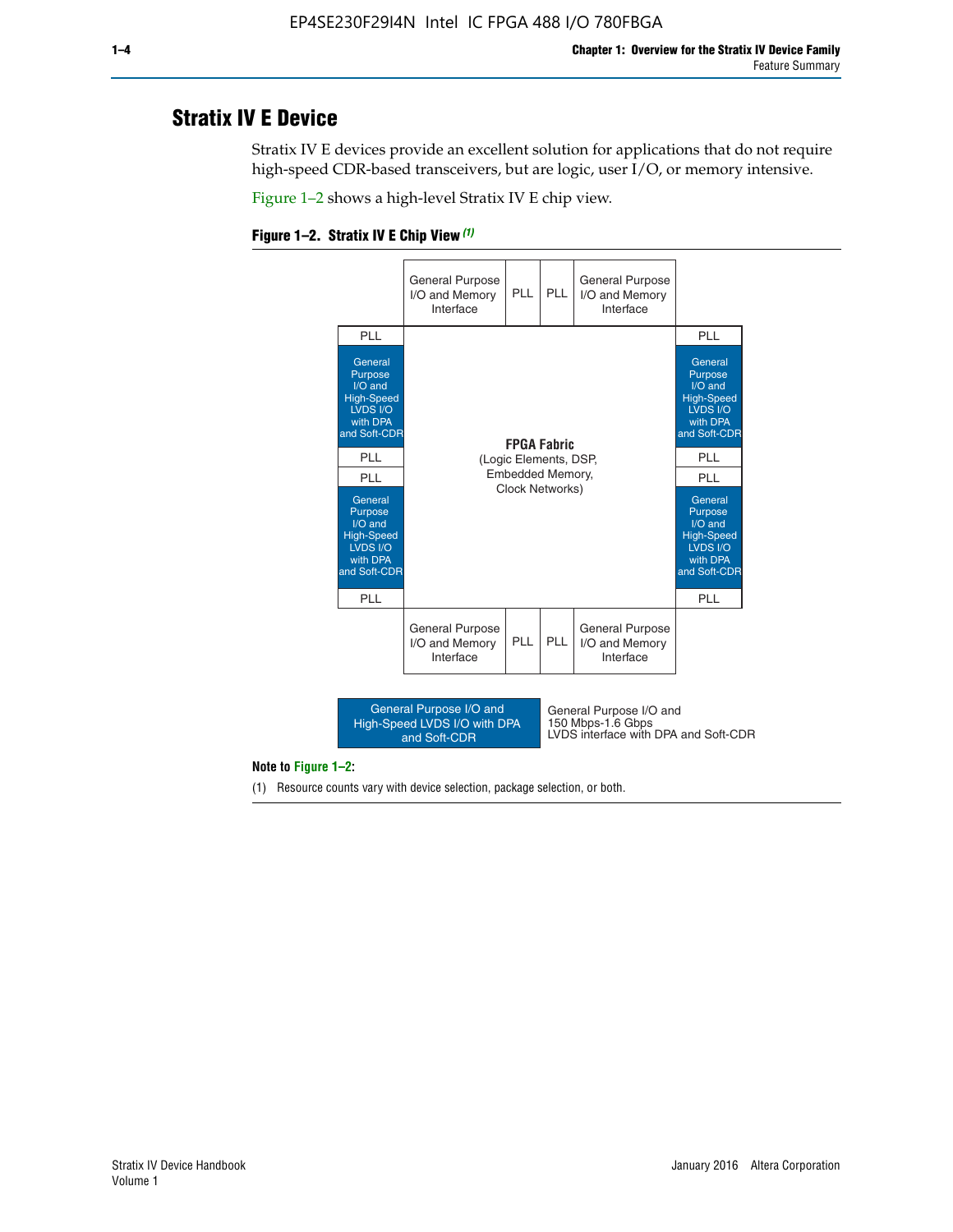# **Stratix IV E Device**

Stratix IV E devices provide an excellent solution for applications that do not require high-speed CDR-based transceivers, but are logic, user I/O, or memory intensive.

Figure 1–2 shows a high-level Stratix IV E chip view.





#### **Note to Figure 1–2:**

(1) Resource counts vary with device selection, package selection, or both.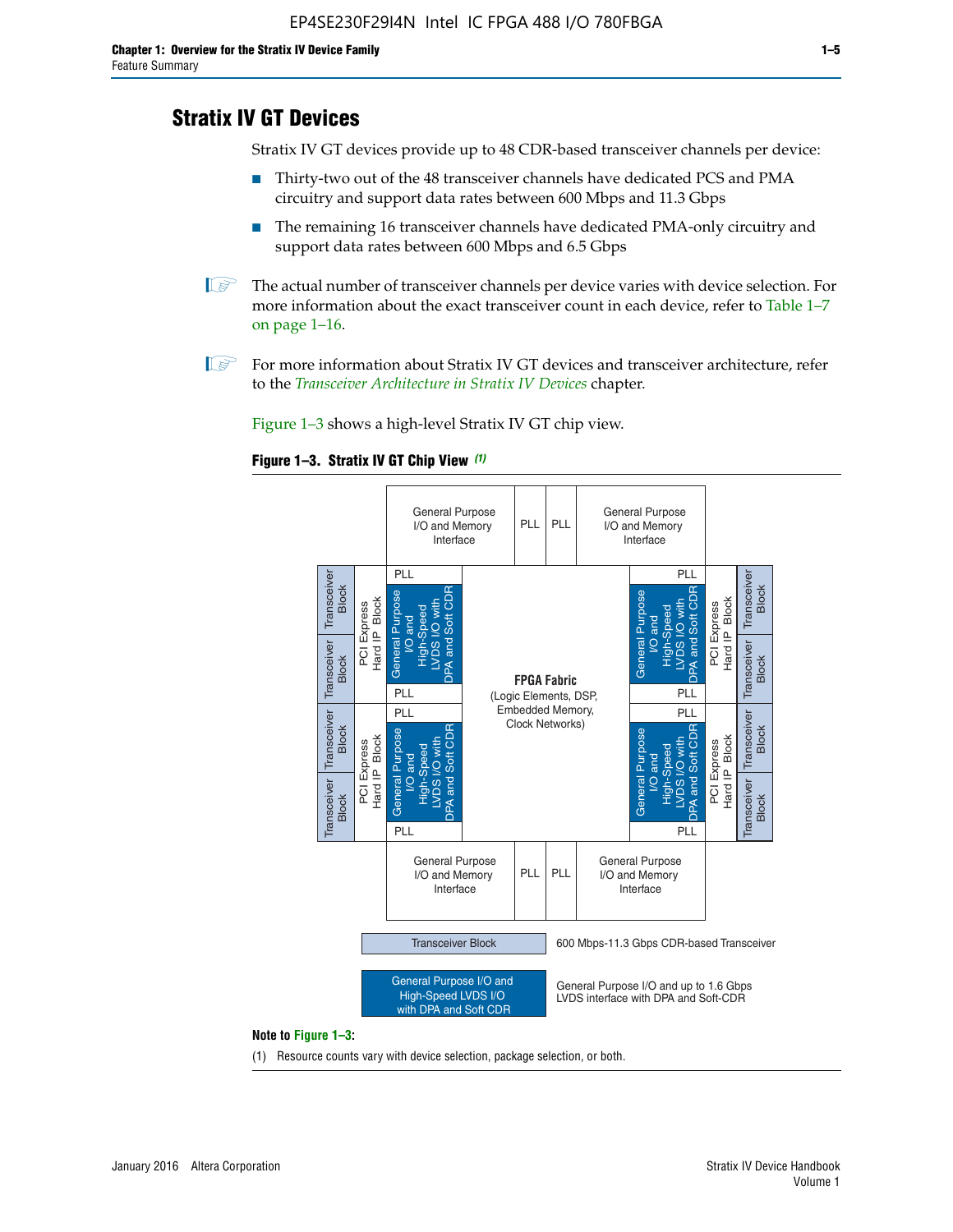# **Stratix IV GT Devices**

Stratix IV GT devices provide up to 48 CDR-based transceiver channels per device:

- Thirty-two out of the 48 transceiver channels have dedicated PCS and PMA circuitry and support data rates between 600 Mbps and 11.3 Gbps
- The remaining 16 transceiver channels have dedicated PMA-only circuitry and support data rates between 600 Mbps and 6.5 Gbps
- **1** The actual number of transceiver channels per device varies with device selection. For more information about the exact transceiver count in each device, refer to Table 1–7 on page 1–16.
- $\mathbb{I}$  For more information about Stratix IV GT devices and transceiver architecture, refer to the *[Transceiver Architecture in Stratix IV Devices](http://www.altera.com/literature/hb/stratix-iv/stx4_siv52001.pdf)* chapter.

Figure 1–3 shows a high-level Stratix IV GT chip view.





(1) Resource counts vary with device selection, package selection, or both.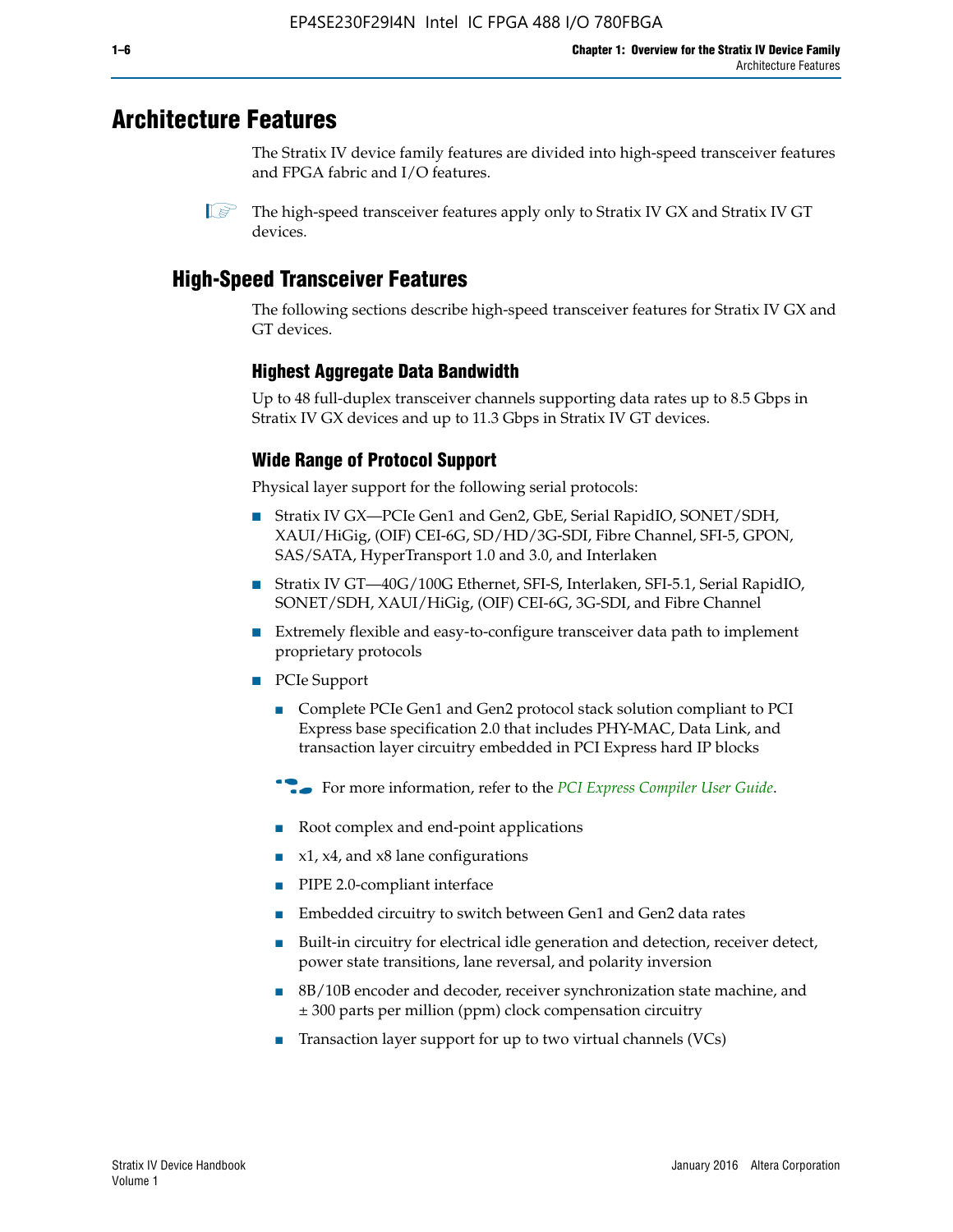# **Architecture Features**

The Stratix IV device family features are divided into high-speed transceiver features and FPGA fabric and I/O features.

 $\mathbb{I}$  The high-speed transceiver features apply only to Stratix IV GX and Stratix IV GT devices.

# **High-Speed Transceiver Features**

The following sections describe high-speed transceiver features for Stratix IV GX and GT devices.

### **Highest Aggregate Data Bandwidth**

Up to 48 full-duplex transceiver channels supporting data rates up to 8.5 Gbps in Stratix IV GX devices and up to 11.3 Gbps in Stratix IV GT devices.

### **Wide Range of Protocol Support**

Physical layer support for the following serial protocols:

- Stratix IV GX—PCIe Gen1 and Gen2, GbE, Serial RapidIO, SONET/SDH, XAUI/HiGig, (OIF) CEI-6G, SD/HD/3G-SDI, Fibre Channel, SFI-5, GPON, SAS/SATA, HyperTransport 1.0 and 3.0, and Interlaken
- Stratix IV GT—40G/100G Ethernet, SFI-S, Interlaken, SFI-5.1, Serial RapidIO, SONET/SDH, XAUI/HiGig, (OIF) CEI-6G, 3G-SDI, and Fibre Channel
- Extremely flexible and easy-to-configure transceiver data path to implement proprietary protocols
- PCIe Support
	- Complete PCIe Gen1 and Gen2 protocol stack solution compliant to PCI Express base specification 2.0 that includes PHY-MAC, Data Link, and transaction layer circuitry embedded in PCI Express hard IP blocks
	- **For more information, refer to the [PCI Express Compiler User Guide](http://www.altera.com/literature/ug/ug_pci_express.pdf).**
	- Root complex and end-point applications
	- $x1, x4,$  and  $x8$  lane configurations
	- PIPE 2.0-compliant interface
	- Embedded circuitry to switch between Gen1 and Gen2 data rates
	- Built-in circuitry for electrical idle generation and detection, receiver detect, power state transitions, lane reversal, and polarity inversion
	- 8B/10B encoder and decoder, receiver synchronization state machine, and ± 300 parts per million (ppm) clock compensation circuitry
	- Transaction layer support for up to two virtual channels (VCs)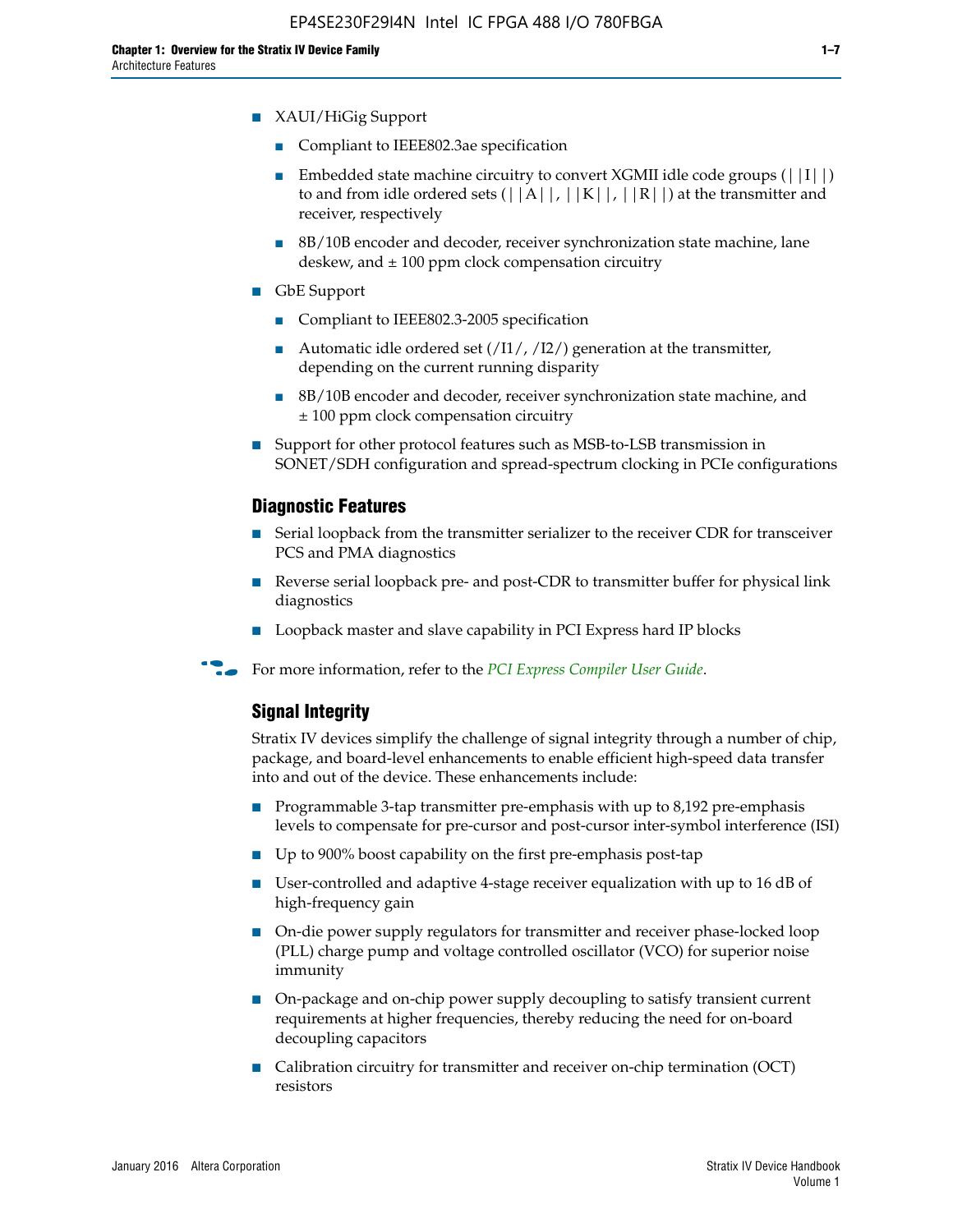- XAUI/HiGig Support
	- Compliant to IEEE802.3ae specification
	- **■** Embedded state machine circuitry to convert XGMII idle code groups  $(|11|)$ to and from idle ordered sets  $(|A|, |K|, |R|)$  at the transmitter and receiver, respectively
	- 8B/10B encoder and decoder, receiver synchronization state machine, lane deskew, and  $\pm 100$  ppm clock compensation circuitry
- GbE Support
	- Compliant to IEEE802.3-2005 specification
	- Automatic idle ordered set  $(111/112/1)$  generation at the transmitter, depending on the current running disparity
	- 8B/10B encoder and decoder, receiver synchronization state machine, and ± 100 ppm clock compensation circuitry
- Support for other protocol features such as MSB-to-LSB transmission in SONET/SDH configuration and spread-spectrum clocking in PCIe configurations

#### **Diagnostic Features**

- Serial loopback from the transmitter serializer to the receiver CDR for transceiver PCS and PMA diagnostics
- Reverse serial loopback pre- and post-CDR to transmitter buffer for physical link diagnostics
- Loopback master and slave capability in PCI Express hard IP blocks
- **For more information, refer to the** *[PCI Express Compiler User Guide](http://www.altera.com/literature/ug/ug_pci_express.pdf)***.**

#### **Signal Integrity**

Stratix IV devices simplify the challenge of signal integrity through a number of chip, package, and board-level enhancements to enable efficient high-speed data transfer into and out of the device. These enhancements include:

- Programmable 3-tap transmitter pre-emphasis with up to 8,192 pre-emphasis levels to compensate for pre-cursor and post-cursor inter-symbol interference (ISI)
- Up to 900% boost capability on the first pre-emphasis post-tap
- User-controlled and adaptive 4-stage receiver equalization with up to 16 dB of high-frequency gain
- On-die power supply regulators for transmitter and receiver phase-locked loop (PLL) charge pump and voltage controlled oscillator (VCO) for superior noise immunity
- On-package and on-chip power supply decoupling to satisfy transient current requirements at higher frequencies, thereby reducing the need for on-board decoupling capacitors
- Calibration circuitry for transmitter and receiver on-chip termination (OCT) resistors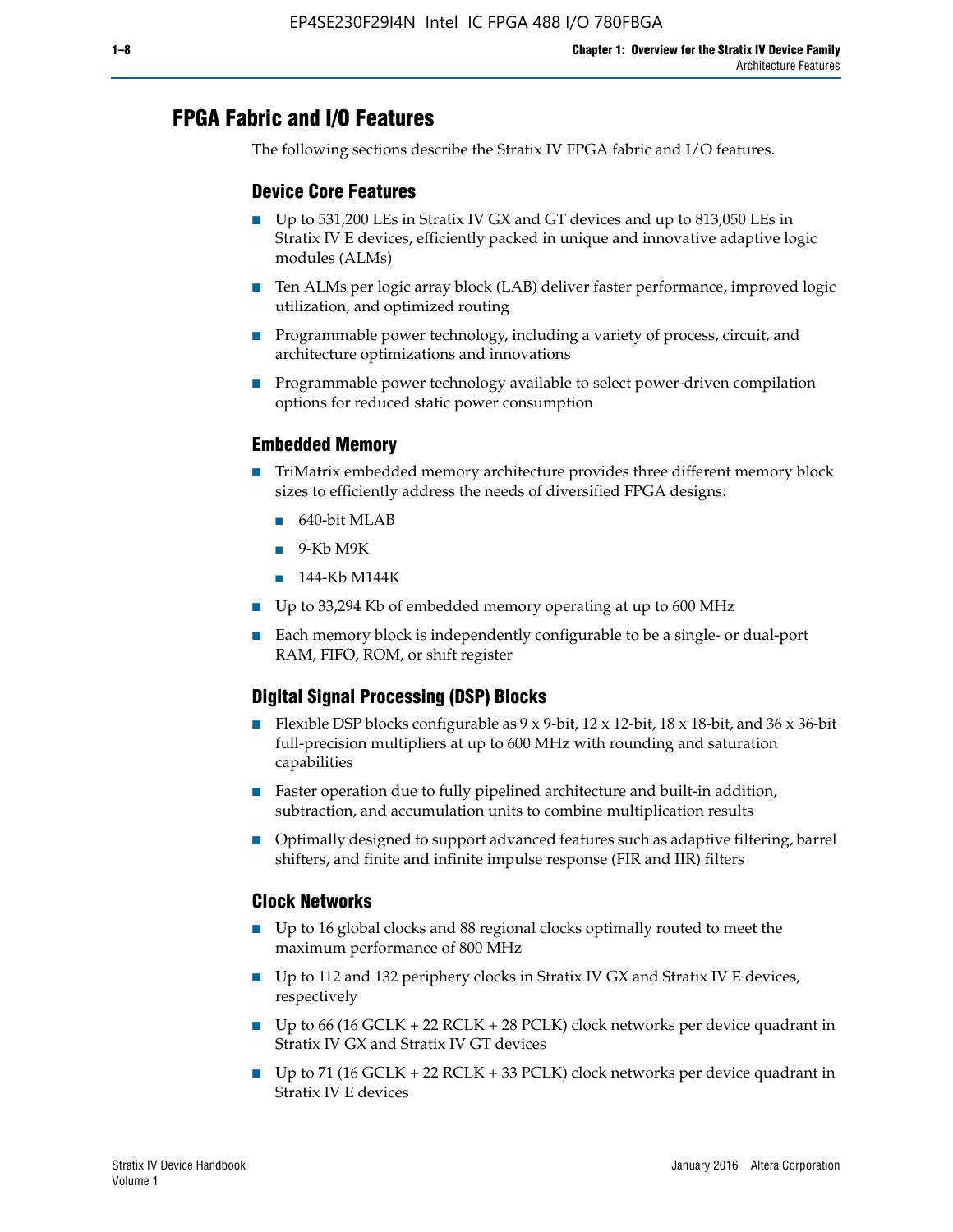# **FPGA Fabric and I/O Features**

The following sections describe the Stratix IV FPGA fabric and I/O features.

### **Device Core Features**

- Up to 531,200 LEs in Stratix IV GX and GT devices and up to 813,050 LEs in Stratix IV E devices, efficiently packed in unique and innovative adaptive logic modules (ALMs)
- Ten ALMs per logic array block (LAB) deliver faster performance, improved logic utilization, and optimized routing
- Programmable power technology, including a variety of process, circuit, and architecture optimizations and innovations
- Programmable power technology available to select power-driven compilation options for reduced static power consumption

#### **Embedded Memory**

- TriMatrix embedded memory architecture provides three different memory block sizes to efficiently address the needs of diversified FPGA designs:
	- 640-bit MLAB
	- 9-Kb M9K
	- 144-Kb M144K
- Up to 33,294 Kb of embedded memory operating at up to 600 MHz
- Each memory block is independently configurable to be a single- or dual-port RAM, FIFO, ROM, or shift register

### **Digital Signal Processing (DSP) Blocks**

- Flexible DSP blocks configurable as  $9 \times 9$ -bit,  $12 \times 12$ -bit,  $18 \times 18$ -bit, and  $36 \times 36$ -bit full-precision multipliers at up to 600 MHz with rounding and saturation capabilities
- Faster operation due to fully pipelined architecture and built-in addition, subtraction, and accumulation units to combine multiplication results
- Optimally designed to support advanced features such as adaptive filtering, barrel shifters, and finite and infinite impulse response (FIR and IIR) filters

#### **Clock Networks**

- Up to 16 global clocks and 88 regional clocks optimally routed to meet the maximum performance of 800 MHz
- Up to 112 and 132 periphery clocks in Stratix IV GX and Stratix IV E devices, respectively
- Up to 66 (16 GCLK + 22 RCLK + 28 PCLK) clock networks per device quadrant in Stratix IV GX and Stratix IV GT devices
- Up to 71 (16 GCLK + 22 RCLK + 33 PCLK) clock networks per device quadrant in Stratix IV E devices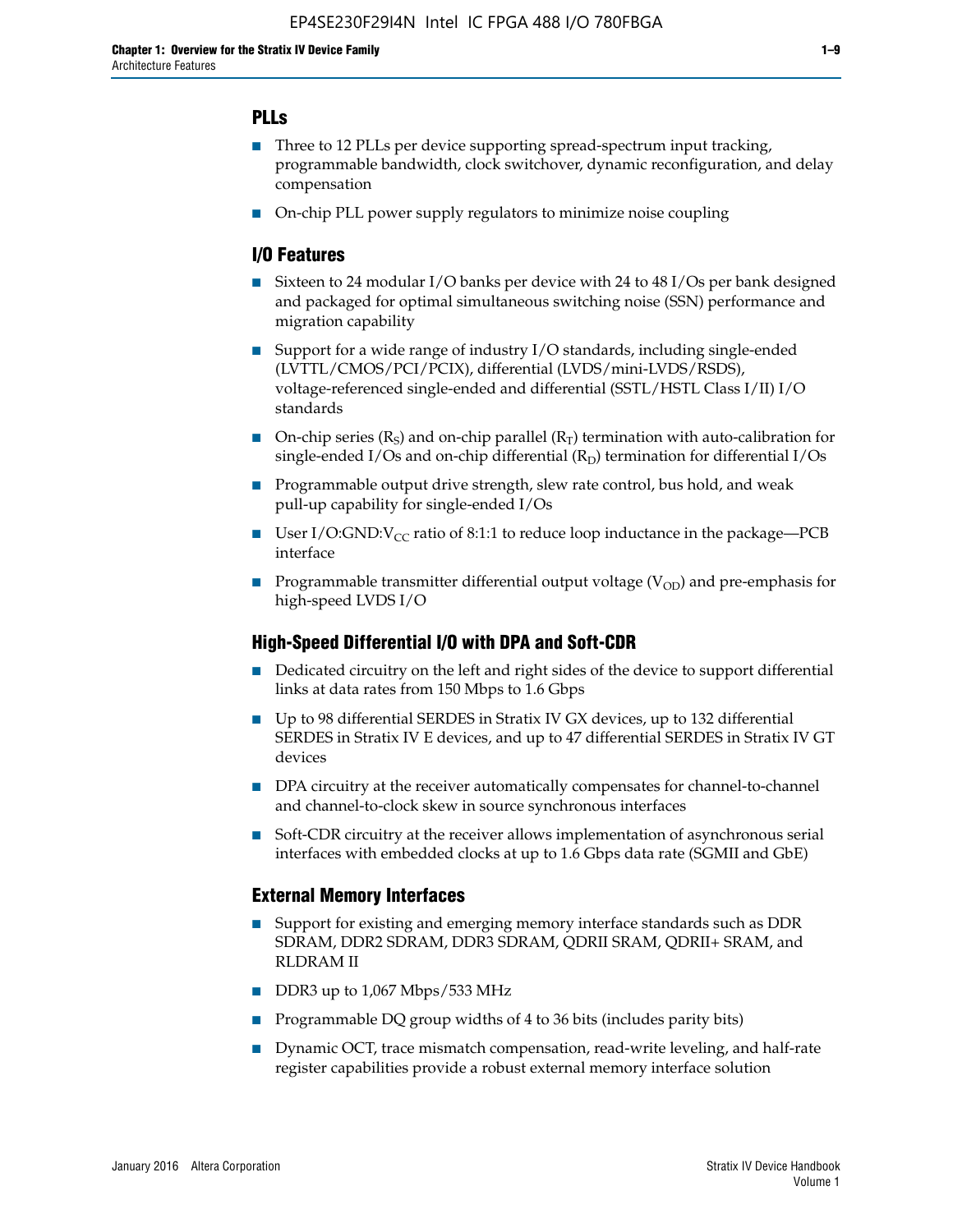### **PLLs**

- Three to 12 PLLs per device supporting spread-spectrum input tracking, programmable bandwidth, clock switchover, dynamic reconfiguration, and delay compensation
- On-chip PLL power supply regulators to minimize noise coupling

### **I/O Features**

- Sixteen to 24 modular I/O banks per device with 24 to 48 I/Os per bank designed and packaged for optimal simultaneous switching noise (SSN) performance and migration capability
- Support for a wide range of industry I/O standards, including single-ended (LVTTL/CMOS/PCI/PCIX), differential (LVDS/mini-LVDS/RSDS), voltage-referenced single-ended and differential (SSTL/HSTL Class I/II) I/O standards
- **O**n-chip series  $(R_S)$  and on-chip parallel  $(R_T)$  termination with auto-calibration for single-ended I/Os and on-chip differential  $(R_D)$  termination for differential I/Os
- Programmable output drive strength, slew rate control, bus hold, and weak pull-up capability for single-ended I/Os
- User I/O:GND: $V_{CC}$  ratio of 8:1:1 to reduce loop inductance in the package—PCB interface
- **■** Programmable transmitter differential output voltage ( $V_{OD}$ ) and pre-emphasis for high-speed LVDS I/O

#### **High-Speed Differential I/O with DPA and Soft-CDR**

- Dedicated circuitry on the left and right sides of the device to support differential links at data rates from 150 Mbps to 1.6 Gbps
- Up to 98 differential SERDES in Stratix IV GX devices, up to 132 differential SERDES in Stratix IV E devices, and up to 47 differential SERDES in Stratix IV GT devices
- DPA circuitry at the receiver automatically compensates for channel-to-channel and channel-to-clock skew in source synchronous interfaces
- Soft-CDR circuitry at the receiver allows implementation of asynchronous serial interfaces with embedded clocks at up to 1.6 Gbps data rate (SGMII and GbE)

#### **External Memory Interfaces**

- Support for existing and emerging memory interface standards such as DDR SDRAM, DDR2 SDRAM, DDR3 SDRAM, QDRII SRAM, QDRII+ SRAM, and RLDRAM II
- DDR3 up to 1,067 Mbps/533 MHz
- Programmable DQ group widths of 4 to 36 bits (includes parity bits)
- Dynamic OCT, trace mismatch compensation, read-write leveling, and half-rate register capabilities provide a robust external memory interface solution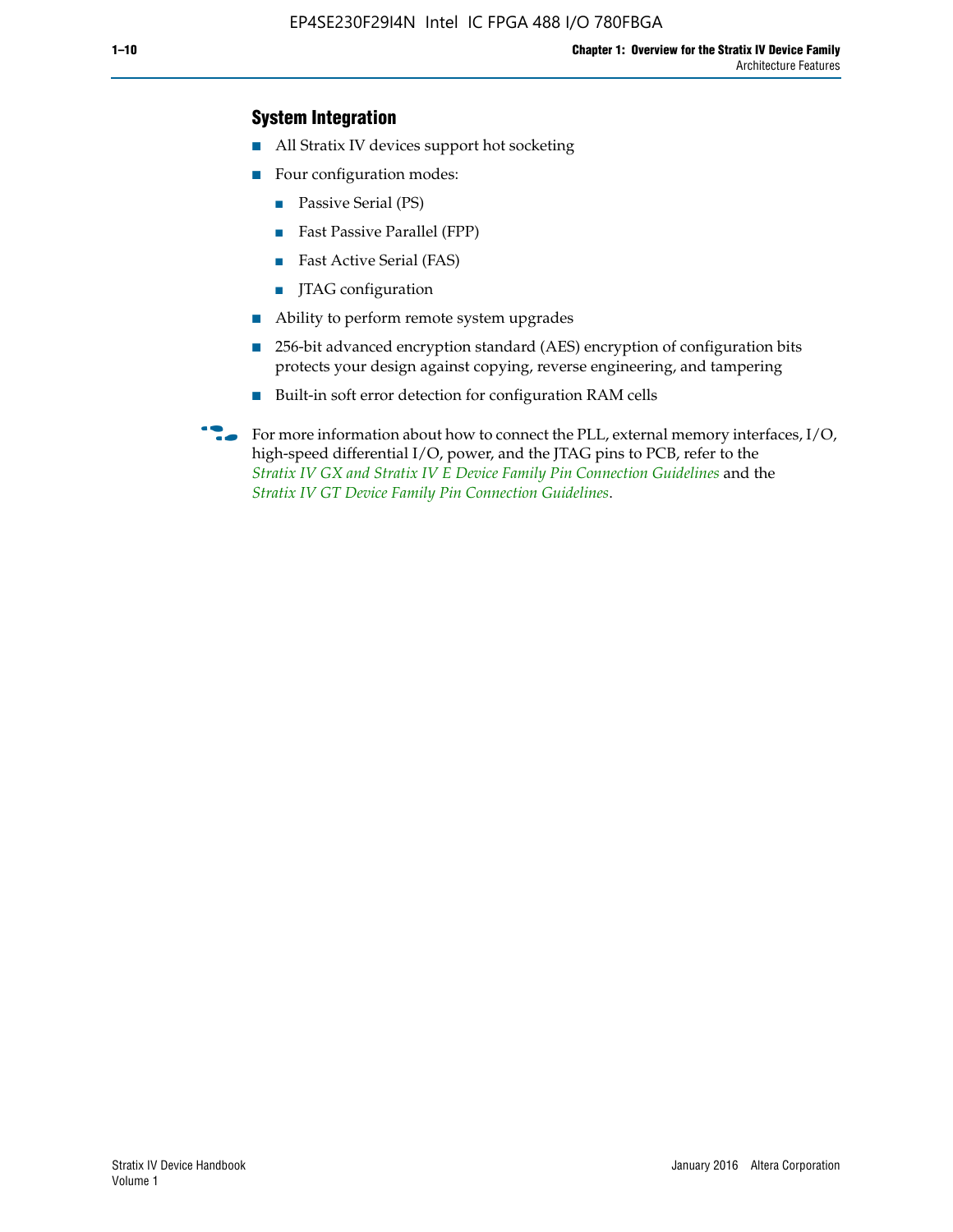### **System Integration**

- All Stratix IV devices support hot socketing
- Four configuration modes:
	- Passive Serial (PS)
	- Fast Passive Parallel (FPP)
	- Fast Active Serial (FAS)
	- JTAG configuration
- Ability to perform remote system upgrades
- 256-bit advanced encryption standard (AES) encryption of configuration bits protects your design against copying, reverse engineering, and tampering
- Built-in soft error detection for configuration RAM cells
- For more information about how to connect the PLL, external memory interfaces,  $I/O$ , high-speed differential I/O, power, and the JTAG pins to PCB, refer to the *[Stratix IV GX and Stratix IV E Device Family Pin Connection Guidelines](http://www.altera.com/literature/dp/stratix4/PCG-01005.pdf)* and the *[Stratix IV GT Device Family Pin Connection Guidelines](http://www.altera.com/literature/dp/stratix4/PCG-01006.pdf)*.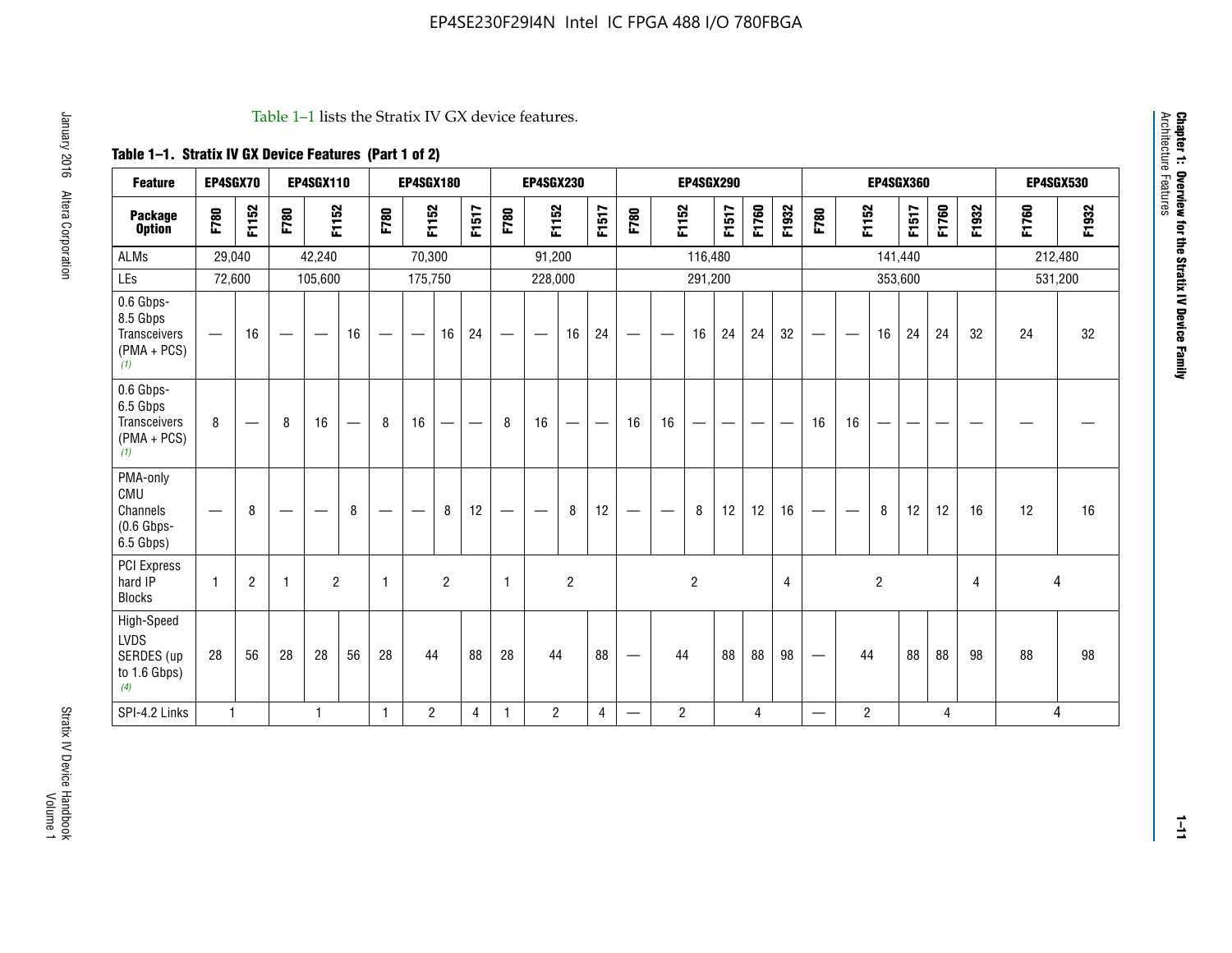#### Table 1–1 lists the Stratix IV GX device features.

## **Table 1–1. Stratix IV GX Device Features (Part 1 of 2)**

| <b>Feature</b>                                                | EP4SGX70                       |                |                   | <b>EP4SGX110</b>  |    |                                | <b>EP4SGX180</b>               |                |       |              | <b>EP4SGX230</b>              |                |                               |                                |                | <b>EP4SGX290</b> |       |       |       |                          |                   |                | <b>EP4SGX360</b> |       |       |       | <b>EP4SGX530</b> |
|---------------------------------------------------------------|--------------------------------|----------------|-------------------|-------------------|----|--------------------------------|--------------------------------|----------------|-------|--------------|-------------------------------|----------------|-------------------------------|--------------------------------|----------------|------------------|-------|-------|-------|--------------------------|-------------------|----------------|------------------|-------|-------|-------|------------------|
| <b>Package</b><br><b>Option</b>                               | F780                           | F1152          | F780              | F1152             |    | F780                           | F1152                          |                | F1517 | F780         | F1152                         |                | F1517                         | F780                           | F1152          |                  | F1517 | F1760 | F1932 | F780                     | F1152             |                | F1517            | F1760 | F1932 | F1760 | F1932            |
| <b>ALMs</b>                                                   | 29,040                         |                |                   | 42,240            |    |                                | 70,300                         |                |       |              | 91,200                        |                |                               |                                |                | 116,480          |       |       |       |                          |                   |                | 141,440          |       |       |       | 212,480          |
| LEs                                                           | 72,600                         |                |                   | 105,600           |    |                                | 175,750                        |                |       |              | 228,000                       |                |                               |                                |                | 291,200          |       |       |       |                          |                   | 353,600        |                  |       |       |       | 531,200          |
| 0.6 Gbps-<br>8.5 Gbps<br>Transceivers<br>$(PMA + PCs)$<br>(1) |                                | 16             | $\hspace{0.05cm}$ | $\hspace{0.05cm}$ | 16 | $\qquad \qquad \longleftarrow$ | $\hspace{0.05cm}$              | 16             | 24    |              | $\overbrace{\phantom{aaaaa}}$ | 16             | 24                            | —                              |                | 16               | 24    | 24    | 32    | $\overline{\phantom{0}}$ | $\hspace{0.05cm}$ | 16             | 24               | 24    | 32    | 24    | 32               |
| 0.6 Gbps-<br>6.5 Gbps<br>Transceivers<br>$(PMA + PCS)$<br>(1) | 8                              |                | 8                 | 16                | —  | 8                              | 16                             | -              | —     | 8            | 16                            | —              | $\overbrace{\phantom{aaaaa}}$ | 16                             | 16             |                  |       |       |       | 16                       | 16                |                |                  |       |       |       |                  |
| PMA-only<br>CMU<br>Channels<br>$(0.6$ Gbps-<br>6.5 Gbps)      | $\qquad \qquad \longleftarrow$ | 8              | $\hspace{0.05cm}$ |                   | 8  | $\qquad \qquad \longleftarrow$ | $\qquad \qquad \longleftarrow$ | 8              | 12    | -            | $\overline{\phantom{a}}$      | 8              | 12                            | $\qquad \qquad \longleftarrow$ |                | 8                | 12    | 12    | 16    |                          | $\hspace{0.05cm}$ | 8              | 12               | 12    | 16    | 12    | 16               |
| PCI Express<br>hard IP<br><b>Blocks</b>                       | $\mathbf{1}$                   | $\overline{2}$ | -1                | $\overline{2}$    |    | 1                              |                                | $\overline{2}$ |       | $\mathbf{1}$ |                               | $\overline{c}$ |                               |                                |                | $\overline{c}$   |       |       | 4     |                          |                   | $\overline{2}$ |                  |       | 4     |       | 4                |
| High-Speed<br>LVDS<br>SERDES (up<br>to 1.6 Gbps)<br>(4)       | 28                             | 56             | 28                | 28                | 56 | 28                             | 44                             |                | 88    | 28           | 44                            |                | 88                            | —                              | 44             |                  | 88    | 88    | 98    |                          | 44                |                | 88               | 88    | 98    | 88    | 98               |
| SPI-4.2 Links                                                 | $\mathbf{1}$                   |                |                   | 1                 |    | $\mathbf{1}$                   | $\overline{c}$                 |                | 4     | $\mathbf{1}$ | $\overline{c}$                |                | $\overline{4}$                | —                              | $\overline{2}$ |                  |       | 4     |       | $\overline{\phantom{0}}$ | $\overline{2}$    |                |                  | 4     |       |       | 4                |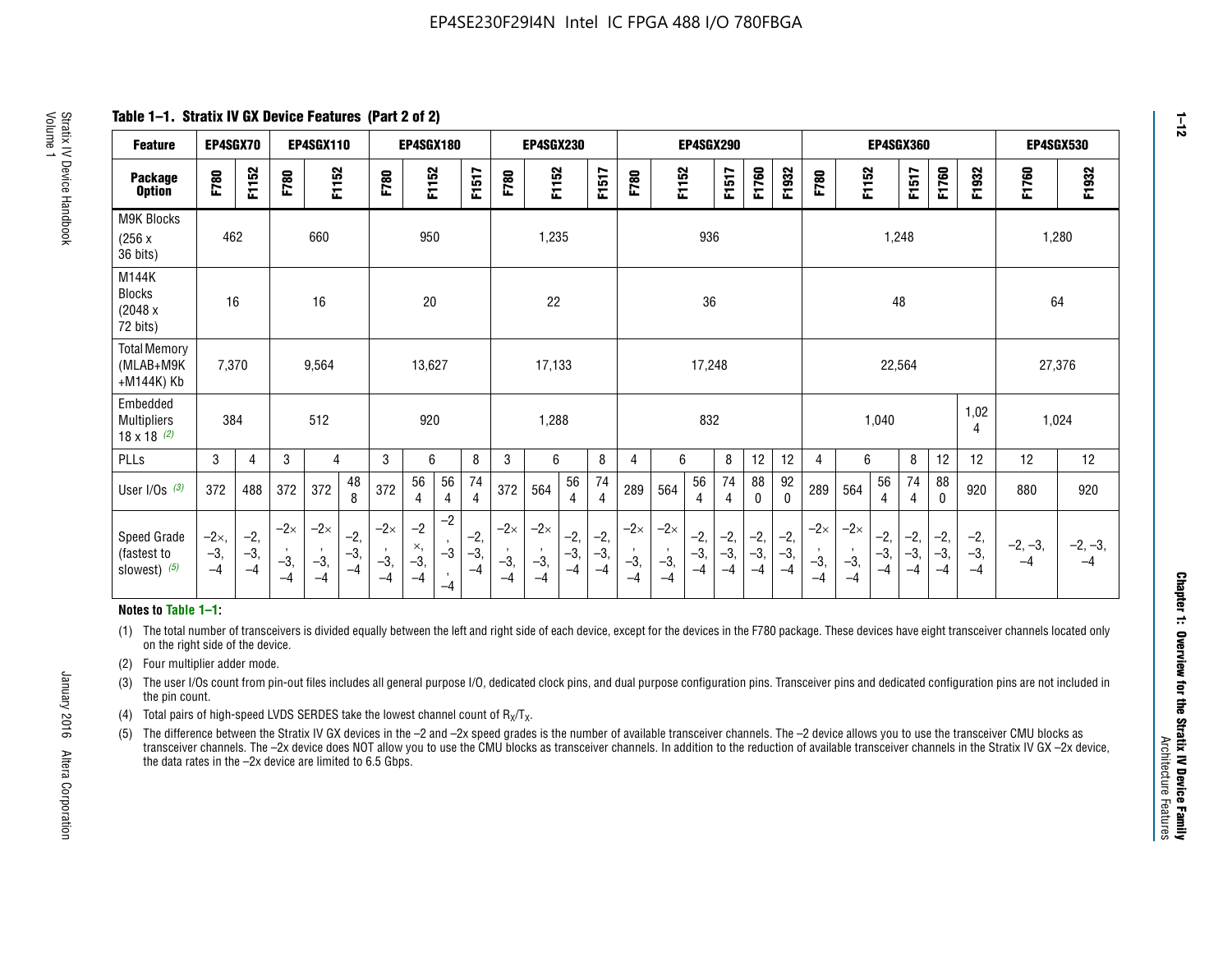**Table 1–1. Stratix IV GX Device Features (Part 2 of 2)**

| <b>Feature</b>                                       | EP4SGX70                |                        |                             | <b>EP4SGX110</b>            |                      |                             | <b>EP4SGX180</b>          |                                              |                        |                             | <b>EP4SGX230</b>            |                        |                      |                             |                             | EP4SGX290              |                      |                        |                        |                             |                             |                        | <b>EP4SGX360</b>     |                        |                        | <b>EP4SGX530</b>  |                   |
|------------------------------------------------------|-------------------------|------------------------|-----------------------------|-----------------------------|----------------------|-----------------------------|---------------------------|----------------------------------------------|------------------------|-----------------------------|-----------------------------|------------------------|----------------------|-----------------------------|-----------------------------|------------------------|----------------------|------------------------|------------------------|-----------------------------|-----------------------------|------------------------|----------------------|------------------------|------------------------|-------------------|-------------------|
| <b>Package</b><br><b>Option</b>                      | F780                    | F1152                  | F780                        | F1152                       |                      | F780                        | F1152                     |                                              | F1517                  | F780                        | F1152                       |                        | F1517                | F780                        | F1152                       |                        | F1517                | F1760                  | F1932                  | F780                        | F1152                       |                        | F1517                | F1760                  | F1932                  | F1760             | F1932             |
| M9K Blocks<br>(256x)<br>36 bits)                     | 462                     |                        |                             | 660                         |                      |                             | 950                       |                                              |                        |                             | 1,235                       |                        |                      |                             |                             | 936                    |                      |                        |                        |                             |                             | 1,248                  |                      |                        |                        | 1,280             |                   |
| M144K<br>Blocks<br>(2048 x<br>72 bits)               | 16                      |                        |                             | 16                          |                      |                             | 20                        |                                              |                        |                             | 22                          |                        |                      |                             |                             | 36                     |                      |                        |                        |                             |                             | 48                     |                      |                        |                        | 64                |                   |
| <b>Total Memory</b><br>(MLAB+M9K<br>+M144K) Kb       | 7,370                   |                        |                             | 9,564                       |                      |                             | 13,627                    |                                              |                        |                             | 17,133                      |                        |                      |                             |                             | 17,248                 |                      |                        |                        |                             |                             | 22,564                 |                      |                        |                        | 27,376            |                   |
| Embedded<br><b>Multipliers</b><br>$18 \times 18$ (2) | 384                     |                        |                             | 512                         |                      |                             | 920                       |                                              |                        |                             | 1,288                       |                        |                      |                             |                             | 832                    |                      |                        |                        |                             |                             | 1,040                  |                      |                        | 1,02<br>4              | 1,024             |                   |
| PLLs                                                 | 3                       | 4                      | 3                           | 4                           |                      | 3                           | 6                         |                                              | 8                      | 3                           | 6                           |                        | 8                    | 4                           | 6                           |                        | 8                    | 12                     | 12                     | 4                           | 6                           |                        | 8                    | 12                     | 12                     | 12                | 12                |
| User I/Os $(3)$                                      | 372                     | 488                    | 372                         | 372                         | 48<br>8              | 372                         | 56<br>4                   | 56<br>4                                      | 74<br>$\overline{4}$   | 372                         | 564                         | 56<br>4                | 74<br>$\overline{4}$ | 289                         | 564                         | 56<br>4                | 74<br>4              | 88<br>0                | 92<br>$\mathbf 0$      | 289                         | 564                         | 56<br>4                | 74<br>4              | 88<br>0                | 920                    | 880               | 920               |
| Speed Grade<br>(fastest to<br>slowest) (5)           | $-2x,$<br>$-3,$<br>$-4$ | $-2,$<br>$-3,$<br>$-4$ | $-2\times$<br>$-3,$<br>$-4$ | $-2\times$<br>$-3,$<br>$-4$ | $-2,$<br>-3,<br>$-4$ | $-2\times$<br>$-3,$<br>$-4$ | $-2$<br>×,<br>$-3,$<br>-4 | $-2$<br>$\,$<br>$-3$<br>$\mathbf{r}$<br>$-4$ | $-2,$<br>$-3,$<br>$-4$ | $-2\times$<br>$-3,$<br>$-4$ | $-2\times$<br>$-3,$<br>$-4$ | $-2,$<br>$-3,$<br>$-4$ | $-2,$<br>-3,<br>$-4$ | $-2\times$<br>$-3,$<br>$-4$ | $-2\times$<br>$-3,$<br>$-4$ | $-2,$<br>$-3,$<br>$-4$ | $-2,$<br>-3,<br>$-4$ | $-2,$<br>$-3,$<br>$-4$ | $-2,$<br>$-3,$<br>$-4$ | $-2\times$<br>$-3,$<br>$-4$ | $-2\times$<br>$-3,$<br>$-4$ | $-2,$<br>$-3,$<br>$-4$ | $-2,$<br>-3,<br>$-4$ | $-2,$<br>$-3,$<br>$-4$ | $-2,$<br>$-3,$<br>$-4$ | $-2, -3,$<br>$-4$ | $-2, -3,$<br>$-4$ |

#### **Notes to Table 1–1:**

(1) The total number of transceivers is divided equally between the left and right side of each device, except for the devices in the F780 package. These devices have eight transceiver channels located only on the right side of the device.

(2) Four multiplier adder mode.

(3) The user I/Os count from pin-out files includes all general purpose I/O, dedicated clock pins, and dual purpose configuration pins. Transceiver pins and dedicated configuration pins are not included in the pin count.

- (4) Total pairs of high-speed LVDS SERDES take the lowest channel count of  $R_X/T_X$ .
- (5) The difference between the Stratix IV GX devices in the –2 and –2x speed grades is the number of available transceiver channels. The –2 device allows you to use the transceiver CMU blocks as transceiver channels. The –2x device does NOT allow you to use the CMU blocks as transceiver channels. In addition to the reduction of available transceiver channels in the Stratix IV GX –2x device, the data rates in the –2x device are limited to 6.5 Gbps.

**1–12**

January 2016 Altera Corporation

Altera Corporation

January 2016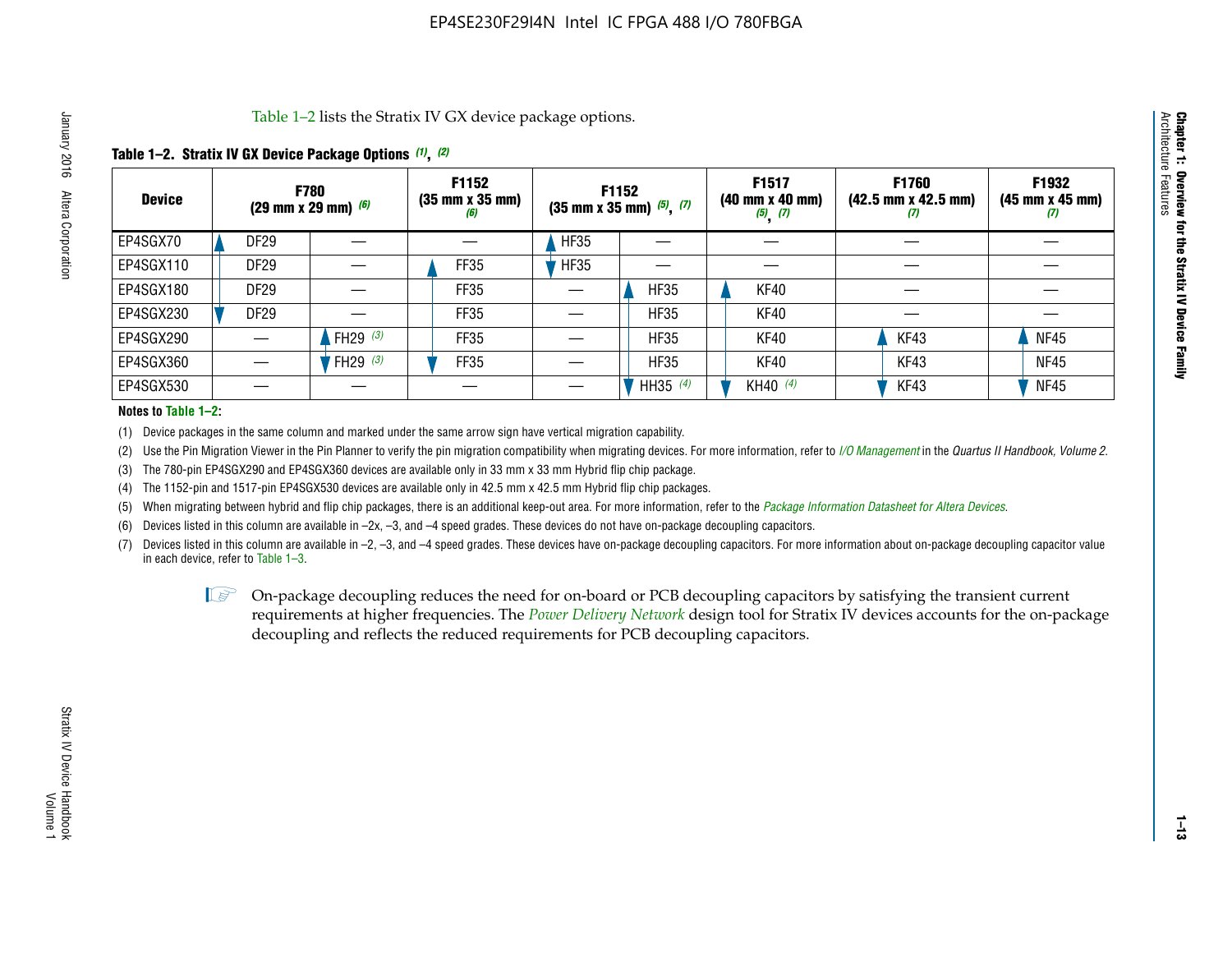Table 1–2 lists the Stratix IV GX device package options.

#### **Table 1–2. Stratix IV GX Device Package Options** *(1)***,** *(2)*

| <b>Device</b> |                  | <b>F780</b><br>(29 mm x 29 mm) $(6)$ | F1152<br>$(35 \, \text{mm} \times 35 \, \text{mm})$<br>(6) |             | <b>F1152</b><br>$(35 \text{ mm} \times 35 \text{ mm})$ $(5)$ , $(7)$ | F1517<br>(40 mm x 40 mm)<br>$(5)$ $(7)$ | <b>F1760</b><br>$(42.5 \text{ mm} \times 42.5 \text{ mm})$<br>Ø | F1932<br>$(45 \, \text{mm} \times 45 \, \text{mm})$<br>(7) |
|---------------|------------------|--------------------------------------|------------------------------------------------------------|-------------|----------------------------------------------------------------------|-----------------------------------------|-----------------------------------------------------------------|------------------------------------------------------------|
| EP4SGX70      | <b>DF29</b>      |                                      |                                                            | <b>HF35</b> |                                                                      |                                         |                                                                 |                                                            |
| EP4SGX110     | <b>DF29</b>      |                                      | FF35                                                       | <b>HF35</b> |                                                                      |                                         |                                                                 |                                                            |
| EP4SGX180     | DF <sub>29</sub> |                                      | FF35                                                       |             | <b>HF35</b>                                                          | KF40                                    |                                                                 |                                                            |
| EP4SGX230     | DF <sub>29</sub> |                                      | FF35                                                       |             | <b>HF35</b>                                                          | KF40                                    |                                                                 |                                                            |
| EP4SGX290     |                  | FH29 $(3)$                           | FF35                                                       |             | <b>HF35</b>                                                          | KF40                                    | KF43                                                            | <b>NF45</b>                                                |
| EP4SGX360     |                  | FH29 (3)                             | FF35                                                       |             | <b>HF35</b>                                                          | KF40                                    | KF43                                                            | <b>NF45</b>                                                |
| EP4SGX530     |                  |                                      |                                                            |             | HH35 $(4)$                                                           | KH40 (4)                                | KF43                                                            | <b>NF45</b>                                                |

#### **Notes to Table 1–2:**

(1) Device packages in the same column and marked under the same arrow sign have vertical migration capability.

(2) Use the Pin Migration Viewer in the Pin Planner to verify the pin migration compatibility when migrating devices. For more information, refer to *[I/O Management](http://www.altera.com/literature/hb/qts/qts_qii52013.pdf)* in the *Quartus II Handbook, Volume 2*.

(3) The 780-pin EP4SGX290 and EP4SGX360 devices are available only in 33 mm x 33 mm Hybrid flip chip package.

(4) The 1152-pin and 1517-pin EP4SGX530 devices are available only in 42.5 mm x 42.5 mm Hybrid flip chip packages.

(5) When migrating between hybrid and flip chip packages, there is an additional keep-out area. For more information, refer to the *[Package Information Datasheet for Altera Devices](http://www.altera.com/literature/ds/dspkg.pdf)*.

(6) Devices listed in this column are available in –2x, –3, and –4 speed grades. These devices do not have on-package decoupling capacitors.

(7) Devices listed in this column are available in –2, –3, and –4 speed grades. These devices have on-package decoupling capacitors. For more information about on-package decoupling capacitor value in each device, refer to Table 1–3.

 $\mathbb{L}$ s On-package decoupling reduces the need for on-board or PCB decoupling capacitors by satisfying the transient current requirements at higher frequencies. The *[Power Delivery Network](http://www.altera.com/literature/ug/pdn_tool_stxiv.zip)* design tool for Stratix IV devices accounts for the on-package decoupling and reflects the reduced requirements for PCB decoupling capacitors.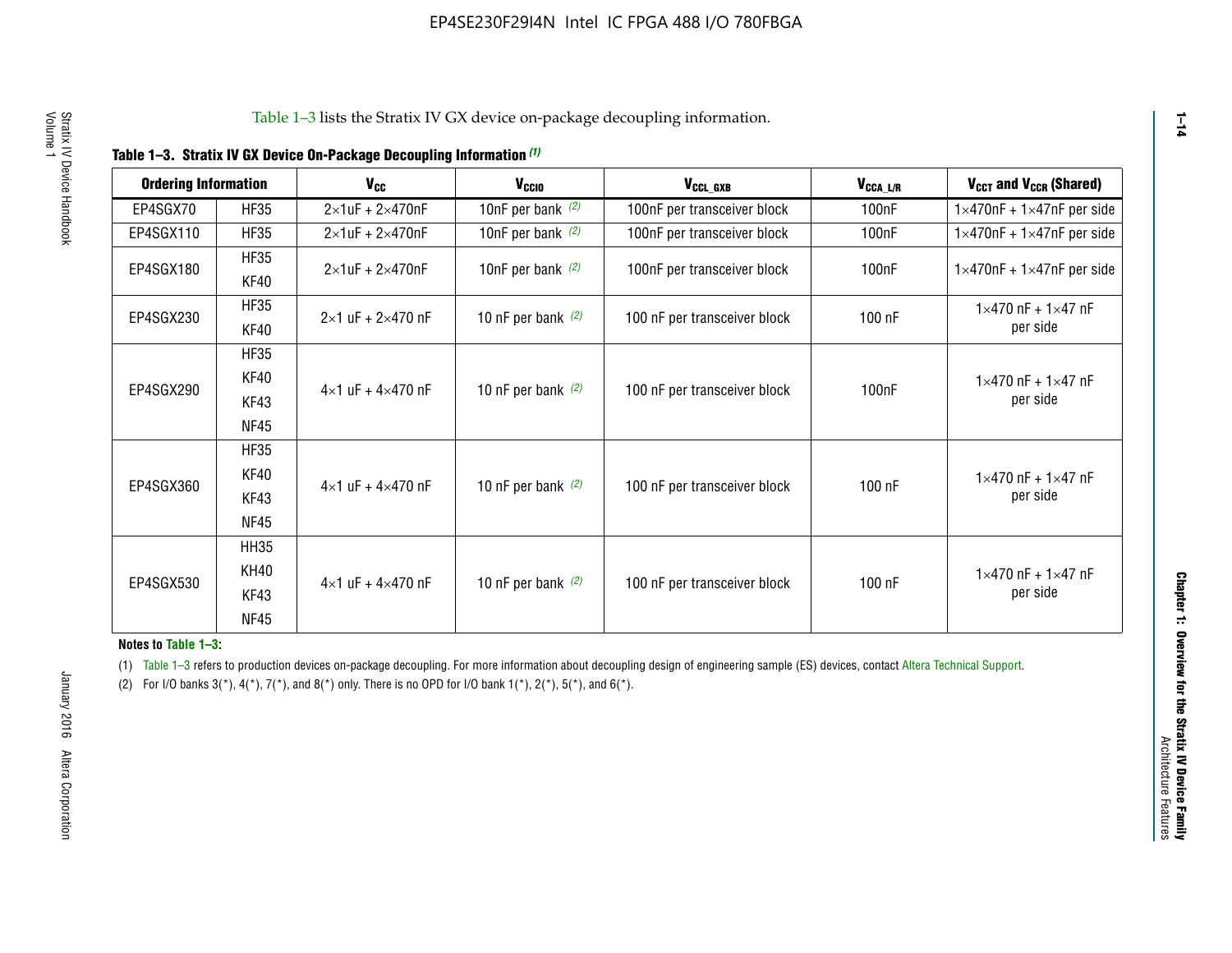| <b>Ordering Information</b> |                     | <b>V<sub>cc</sub></b>               | V <sub>ccio</sub>    | V <sub>CCL GXB</sub>         | V <sub>CCA_L/R</sub> | V <sub>CCT</sub> and V <sub>CCR</sub> (Shared)   |
|-----------------------------|---------------------|-------------------------------------|----------------------|------------------------------|----------------------|--------------------------------------------------|
| EP4SGX70                    | <b>HF35</b>         | $2\times1$ uF + $2\times470$ nF     | 10nF per bank $(2)$  | 100nF per transceiver block  | 100 <sub>n</sub> F   | $1 \times 470$ nF + $1 \times 47$ nF per side    |
| EP4SGX110                   | <b>HF35</b>         | $2\times1$ uF + $2\times470$ nF     | 10nF per bank $(2)$  | 100nF per transceiver block  | 100 <sub>n</sub> F   | $1\times470$ nF + $1\times47$ nF per side        |
| EP4SGX180                   | <b>HF35</b><br>KF40 | $2\times1$ uF + $2\times470$ nF     | 10nF per bank $(2)$  | 100nF per transceiver block  | 100 <sub>n</sub> F   | $1 \times 470$ nF + $1 \times 47$ nF per side    |
| EP4SGX230                   | <b>HF35</b><br>KF40 | $2 \times 1$ uF + $2 \times 470$ nF | 10 nF per bank $(2)$ | 100 nF per transceiver block | 100 nF               | $1 \times 470$ nF + $1 \times 47$ nF<br>per side |
| EP4SGX290                   | <b>HF35</b><br>KF40 |                                     |                      |                              |                      | $1 \times 470$ nF + $1 \times 47$ nF             |
|                             | KF43<br><b>NF45</b> | $4 \times 1$ uF + $4 \times 470$ nF | 10 nF per bank $(2)$ | 100 nF per transceiver block | 100nF                | per side                                         |
|                             | <b>HF35</b><br>KF40 |                                     |                      |                              |                      | $1 \times 470$ nF + $1 \times 47$ nF             |
| EP4SGX360                   | KF43<br><b>NF45</b> | $4 \times 1$ uF + $4 \times 470$ nF | 10 nF per bank $(2)$ | 100 nF per transceiver block | 100 nF               | per side                                         |
|                             | <b>HH35</b>         |                                     |                      |                              |                      |                                                  |
| EP4SGX530                   | <b>KH40</b><br>KF43 | $4 \times 1$ uF + $4 \times 470$ nF | 10 nF per bank $(2)$ | 100 nF per transceiver block | 100 nF               | $1 \times 470$ nF + $1 \times 47$ nF<br>per side |
|                             | <b>NF45</b>         |                                     |                      |                              |                      |                                                  |

**Notes to Table 1–3:**

(1) Table 1-3 refers to production devices on-package decoupling. For more information about decoupling design of engineering sample (ES) devices, contact [Altera Technical Support](http://mysupport.altera.com/eservice/login.asp).

(2) For I/O banks  $3(*)$ ,  $4(*)$ ,  $7(*)$ , and  $8(*)$  only. There is no OPD for I/O bank  $1(*)$ ,  $2(*)$ ,  $5(*)$ , and  $6(*)$ .

**1–14**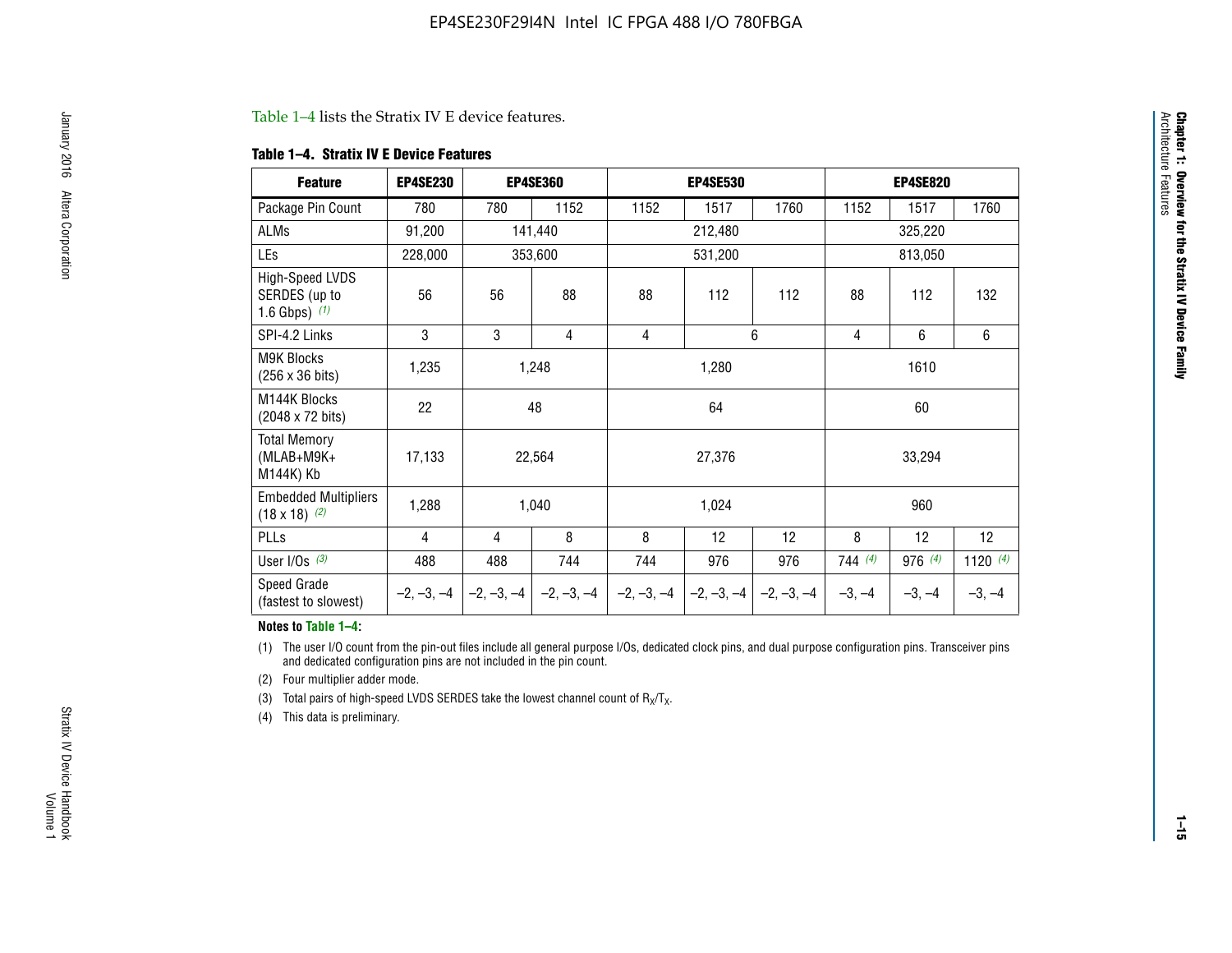#### Table 1–4 lists the Stratix IV E device features.

#### **Table 1–4. Stratix IV E Device Features**

| <b>Feature</b>                                      | <b>EP4SE230</b> |     | <b>EP4SE360</b>                        |              | <b>EP4SE530</b> |              |          | <b>EP4SE820</b> |            |  |
|-----------------------------------------------------|-----------------|-----|----------------------------------------|--------------|-----------------|--------------|----------|-----------------|------------|--|
| Package Pin Count                                   | 780             | 780 | 1152                                   | 1152         | 1517            | 1760         | 1152     | 1517            | 1760       |  |
| ALMs                                                | 91,200          |     | 141,440                                |              | 212,480         |              |          | 325,220         |            |  |
| LEs                                                 | 228,000         |     | 353,600                                | 531,200      |                 |              | 813,050  |                 |            |  |
| High-Speed LVDS<br>SERDES (up to<br>1.6 Gbps) $(1)$ | 56              | 56  | 88                                     | 88           | 112             | 112          | 88       | 112             | 132        |  |
| SPI-4.2 Links                                       | 3               | 3   | 4                                      | 4            |                 | 6            | 4        | 6               | 6          |  |
| <b>M9K Blocks</b><br>(256 x 36 bits)                | 1,235           |     | 1,248                                  |              | 1,280           |              |          | 1610            |            |  |
| M144K Blocks<br>(2048 x 72 bits)                    | 22              |     | 48                                     |              | 64              |              | 60       |                 |            |  |
| <b>Total Memory</b><br>$(MLAB+M9K+$<br>M144K) Kb    | 17,133          |     | 22,564                                 |              | 27,376          |              |          | 33,294          |            |  |
| <b>Embedded Multipliers</b><br>$(18 \times 18)$ (2) | 1,288           |     | 1,040                                  |              | 1,024           |              |          | 960             |            |  |
| PLLs                                                | 4               | 4   | 8                                      | 8            | 12              | 12           | 8        | 12              | 12         |  |
| User I/Os $(3)$                                     | 488             | 488 | 744                                    | 744          | 976             | 976          | 744(4)   | 976 (4)         | 1120 $(4)$ |  |
| Speed Grade<br>(fastest to slowest)                 |                 |     | $-2, -3, -4$ $-2, -3, -4$ $-2, -3, -4$ | $-2, -3, -4$ | $-2, -3, -4$    | $-2, -3, -4$ | $-3, -4$ | $-3, -4$        | $-3, -4$   |  |

#### **Notes to Table 1–4:**

(1) The user I/O count from the pin-out files include all general purpose I/Os, dedicated clock pins, and dual purpose configuration pins. Transceiver pins and dedicated configuration pins are not included in the pin count.

(2) Four multiplier adder mode.

(3) Total pairs of high-speed LVDS SERDES take the lowest channel count of  $R_X/T_X$ .

(4) This data is preliminary.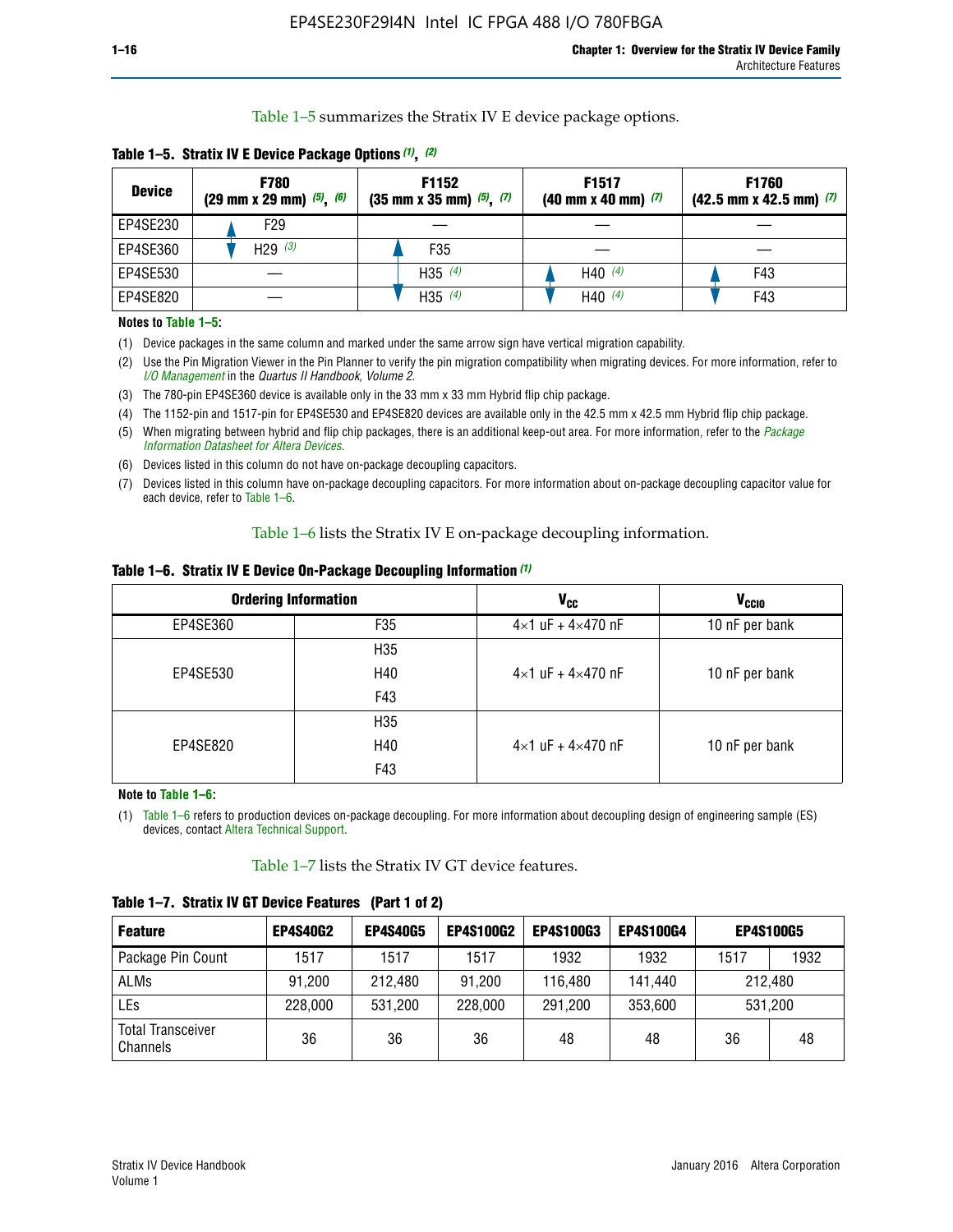Table 1–5 summarizes the Stratix IV E device package options.

| <b>Device</b> | <b>F780</b><br>$(29 \text{ mm} \times 29 \text{ mm})$ $(5)$ , $(6)$ | F1152<br>$(35 \text{ mm} \times 35 \text{ mm})$ $(5)$ , $(7)$ | F <sub>1517</sub><br>$(40 \text{ mm} \times 40 \text{ mm})$ (7) | <b>F1760</b><br>$(42.5$ mm x 42.5 mm) $(7)$ |  |  |
|---------------|---------------------------------------------------------------------|---------------------------------------------------------------|-----------------------------------------------------------------|---------------------------------------------|--|--|
| EP4SE230      | F29                                                                 |                                                               |                                                                 |                                             |  |  |
| EP4SE360      | H29 $(3)$                                                           | F35                                                           |                                                                 |                                             |  |  |
| EP4SE530      |                                                                     | H35 $(4)$                                                     | H40 $(4)$                                                       | F43                                         |  |  |
| EP4SE820      |                                                                     | H35 $(4)$                                                     | H40 $(4)$                                                       | F43                                         |  |  |

**Table 1–5. Stratix IV E Device Package Options** *(1)***,** *(2)*

#### **Notes to Table 1–5:**

(1) Device packages in the same column and marked under the same arrow sign have vertical migration capability.

(2) Use the Pin Migration Viewer in the Pin Planner to verify the pin migration compatibility when migrating devices. For more information, refer to *[I/O Management](http://www.altera.com/literature/hb/qts/qts_qii52013.pdf)* in the *Quartus II Handbook, Volume 2*.

(3) The 780-pin EP4SE360 device is available only in the 33 mm x 33 mm Hybrid flip chip package.

(4) The 1152-pin and 1517-pin for EP4SE530 and EP4SE820 devices are available only in the 42.5 mm x 42.5 mm Hybrid flip chip package.

(5) When migrating between hybrid and flip chip packages, there is an additional keep-out area. For more information, refer to the *[Package](http://www.altera.com/literature/ds/dspkg.pdf)  [Information Datasheet for Altera Devices](http://www.altera.com/literature/ds/dspkg.pdf)*.

(6) Devices listed in this column do not have on-package decoupling capacitors.

(7) Devices listed in this column have on-package decoupling capacitors. For more information about on-package decoupling capacitor value for each device, refer to Table 1–6.

Table 1–6 lists the Stratix IV E on-package decoupling information.

| Table 1–6. Stratix IV E Device On-Package Decoupling Information (1) |  |  |  |  |  |
|----------------------------------------------------------------------|--|--|--|--|--|
|----------------------------------------------------------------------|--|--|--|--|--|

|          | <b>Ordering Information</b> | <b>V<sub>cc</sub></b>               | <b>V<sub>CCIO</sub></b> |
|----------|-----------------------------|-------------------------------------|-------------------------|
| EP4SE360 | F35                         | $4 \times 1$ uF + $4 \times 470$ nF | 10 nF per bank          |
|          | H <sub>35</sub>             |                                     |                         |
| EP4SE530 | H40                         | $4 \times 1$ uF + $4 \times 470$ nF | 10 nF per bank          |
|          | F43                         |                                     |                         |
|          | H <sub>35</sub>             |                                     |                         |
| EP4SE820 | H40                         | $4 \times 1$ uF + $4 \times 470$ nF | 10 nF per bank          |
|          | F43                         |                                     |                         |

**Note to Table 1–6:**

(1) Table 1–6 refers to production devices on-package decoupling. For more information about decoupling design of engineering sample (ES) devices, contact [Altera Technical Support](http://mysupport.altera.com/eservice/login.asp).

Table 1–7 lists the Stratix IV GT device features.

| <b>Feature</b>                       | <b>EP4S40G2</b> | <b>EP4S40G5</b> | <b>EP4S100G2</b> | <b>EP4S100G3</b> | <b>EP4S100G4</b> | <b>EP4S100G5</b> |         |
|--------------------------------------|-----------------|-----------------|------------------|------------------|------------------|------------------|---------|
| Package Pin Count                    | 1517            | 1517            | 1517             | 1932             | 1932             | 1517             | 1932    |
| <b>ALMs</b>                          | 91,200          | 212,480         | 91,200           | 116,480          | 141,440          | 212.480          |         |
| LEs                                  | 228,000         | 531,200         | 228,000          | 291,200          | 353,600          |                  | 531,200 |
| <b>Total Transceiver</b><br>Channels | 36              | 36              | 36               | 48               | 48               | 36               | 48      |

**Table 1–7. Stratix IV GT Device Features (Part 1 of 2)**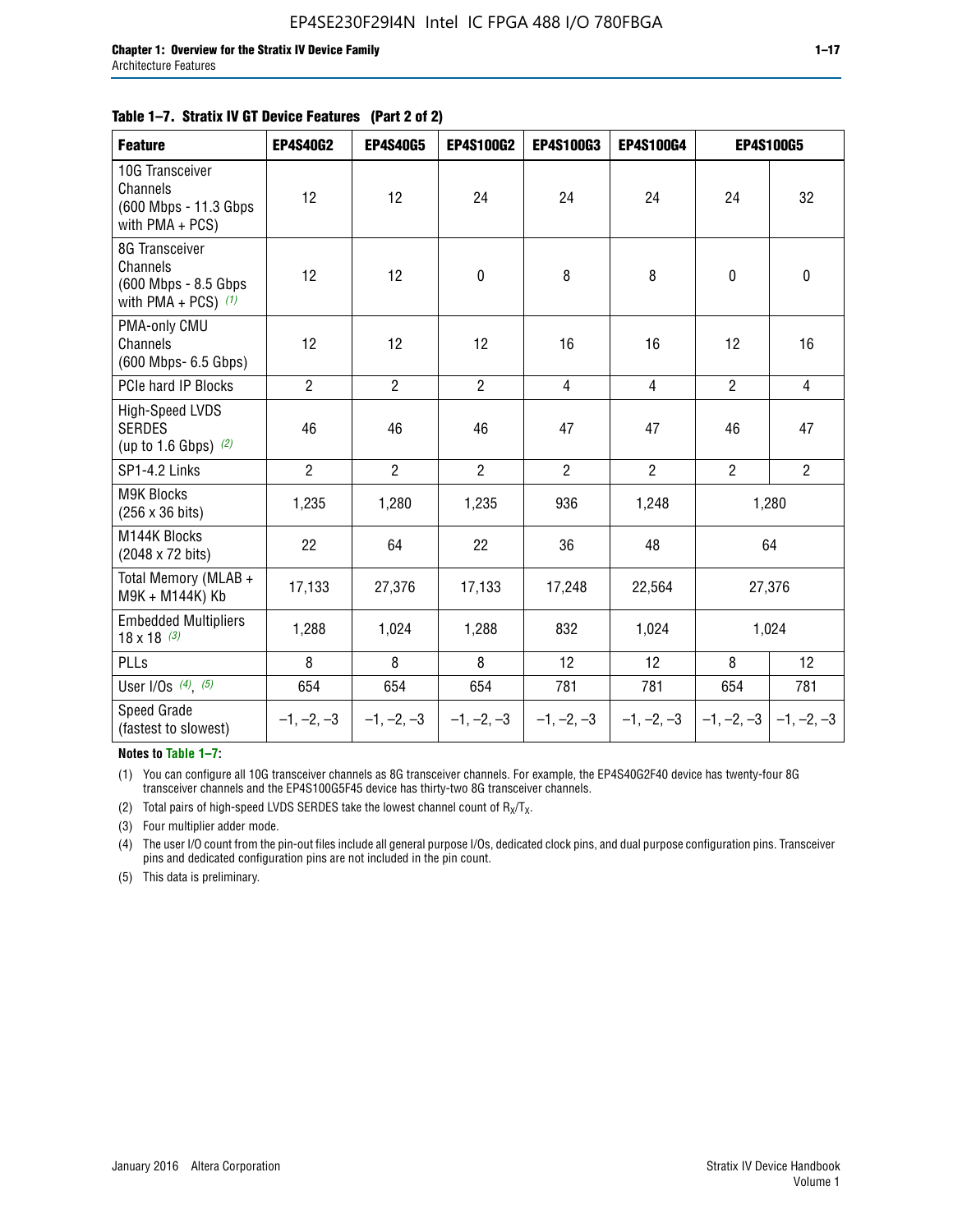#### **Table 1–7. Stratix IV GT Device Features (Part 2 of 2)**

| <b>Feature</b>                                                              | <b>EP4S40G2</b> | <b>EP4S40G5</b> | <b>EP4S100G2</b> | <b>EP4S100G3</b> | <b>EP4S100G4</b> |                | <b>EP4S100G5</b>          |
|-----------------------------------------------------------------------------|-----------------|-----------------|------------------|------------------|------------------|----------------|---------------------------|
| 10G Transceiver<br>Channels<br>(600 Mbps - 11.3 Gbps<br>with PMA + PCS)     | 12              | 12              | 24               | 24               | 24               | 24             | 32                        |
| 8G Transceiver<br>Channels<br>(600 Mbps - 8.5 Gbps<br>with PMA + PCS) $(1)$ | 12              | 12              | $\pmb{0}$        | 8                | 8                | $\mathbf 0$    | 0                         |
| PMA-only CMU<br>Channels<br>(600 Mbps- 6.5 Gbps)                            | 12              | 12              | 12               | 16               | 16               | 12             | 16                        |
| PCIe hard IP Blocks                                                         | $\overline{2}$  | $\overline{2}$  | $\overline{2}$   | $\overline{4}$   | $\overline{4}$   | $\overline{2}$ | $\overline{4}$            |
| <b>High-Speed LVDS</b><br><b>SERDES</b><br>(up to 1.6 Gbps) $(2)$           | 46              | 46              | 46               | 47               | 47               | 46             | 47                        |
| SP1-4.2 Links                                                               | $\overline{2}$  | $\overline{2}$  | $\overline{2}$   | $\overline{2}$   | $\overline{2}$   | $\overline{2}$ | $\overline{2}$            |
| <b>M9K Blocks</b><br>(256 x 36 bits)                                        | 1,235           | 1,280           | 1,235            | 936              | 1,248            |                | 1,280                     |
| M144K Blocks<br>(2048 x 72 bits)                                            | 22              | 64              | 22               | 36               | 48               |                | 64                        |
| Total Memory (MLAB +<br>M9K + M144K) Kb                                     | 17,133          | 27,376          | 17,133           | 17,248           | 22,564           |                | 27,376                    |
| <b>Embedded Multipliers</b><br>$18 \times 18^{(3)}$                         | 1,288           | 1,024           | 1,288            | 832              | 1,024            |                | 1,024                     |
| PLLs                                                                        | 8               | 8               | 8                | 12               | 12               | 8              | 12                        |
| User I/Os $(4)$ , $(5)$                                                     | 654             | 654             | 654              | 781              | 781              | 654            | 781                       |
| Speed Grade<br>(fastest to slowest)                                         | $-1, -2, -3$    | $-1, -2, -3$    | $-1, -2, -3$     | $-1, -2, -3$     | $-1, -2, -3$     |                | $-1, -2, -3$ $-1, -2, -3$ |

**Notes to Table 1–7:**

(1) You can configure all 10G transceiver channels as 8G transceiver channels. For example, the EP4S40G2F40 device has twenty-four 8G transceiver channels and the EP4S100G5F45 device has thirty-two 8G transceiver channels.

(2) Total pairs of high-speed LVDS SERDES take the lowest channel count of  $R_X/T_X$ .

(3) Four multiplier adder mode.

(4) The user I/O count from the pin-out files include all general purpose I/Os, dedicated clock pins, and dual purpose configuration pins. Transceiver pins and dedicated configuration pins are not included in the pin count.

(5) This data is preliminary.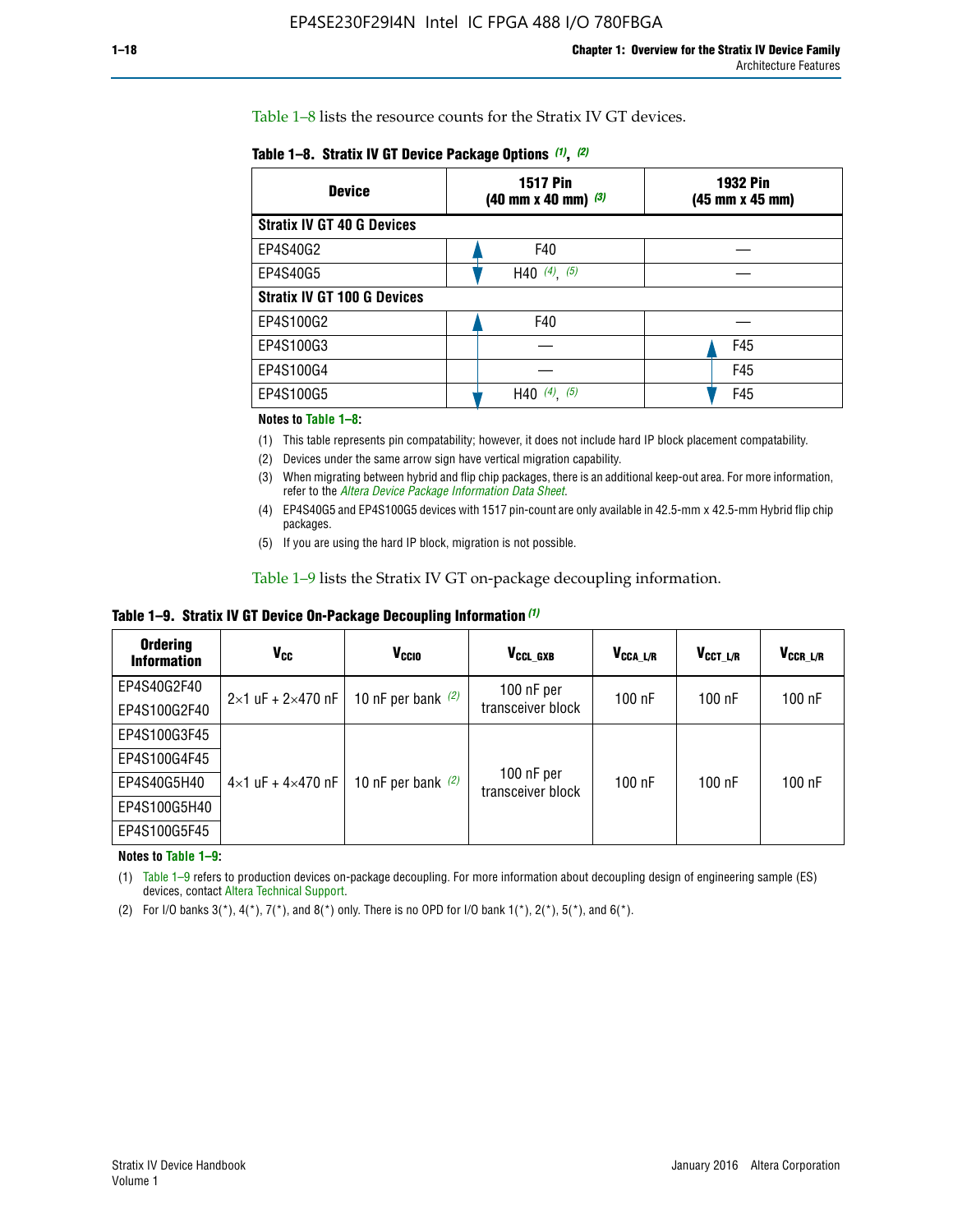Table 1–8 lists the resource counts for the Stratix IV GT devices.

| <b>Device</b>                      | <b>1517 Pin</b><br><b>1932 Pin</b><br>$(40 \text{ mm} \times 40 \text{ mm})$ $(3)$<br>(45 mm x 45 mm) |     |  |
|------------------------------------|-------------------------------------------------------------------------------------------------------|-----|--|
| <b>Stratix IV GT 40 G Devices</b>  |                                                                                                       |     |  |
| EP4S40G2                           | F40                                                                                                   |     |  |
| EP4S40G5                           | H40 $(4)$ , $(5)$                                                                                     |     |  |
| <b>Stratix IV GT 100 G Devices</b> |                                                                                                       |     |  |
| EP4S100G2                          | F40                                                                                                   |     |  |
| EP4S100G3                          |                                                                                                       | F45 |  |
| EP4S100G4                          |                                                                                                       | F45 |  |
| EP4S100G5                          | (5)<br>$(4)$ ,<br>H40                                                                                 | F45 |  |

#### **Notes to Table 1–8:**

(1) This table represents pin compatability; however, it does not include hard IP block placement compatability.

- (2) Devices under the same arrow sign have vertical migration capability.
- (3) When migrating between hybrid and flip chip packages, there is an additional keep-out area. For more information, refer to the *[Altera Device Package Information Data Sheet](http://www.altera.com/literature/ds/dspkg.pdf)*.
- (4) EP4S40G5 and EP4S100G5 devices with 1517 pin-count are only available in 42.5-mm x 42.5-mm Hybrid flip chip packages.
- (5) If you are using the hard IP block, migration is not possible.

Table 1–9 lists the Stratix IV GT on-package decoupling information.

**Table 1–9. Stratix IV GT Device On-Package Decoupling Information** *(1)*

| <b>Ordering</b><br><b>Information</b> | Vcc                                 | <b>V<sub>CCIO</sub></b> | V <sub>CCL GXB</sub>            | V <sub>CCA L/R</sub> | V <sub>CCT L/R</sub> | $V_{CCR\_L/R}$ |
|---------------------------------------|-------------------------------------|-------------------------|---------------------------------|----------------------|----------------------|----------------|
| EP4S40G2F40                           | $2 \times 1$ uF + $2 \times 470$ nF | 10 nF per bank $(2)$    | 100 nF per<br>transceiver block | $100$ nF             | $100$ nF             | 100 nF         |
| EP4S100G2F40                          |                                     |                         |                                 |                      |                      |                |
| EP4S100G3F45                          |                                     | 10 nF per bank $(2)$    | 100 nF per<br>transceiver block | $100$ nF             | $100$ nF             | $100$ nF       |
| EP4S100G4F45                          |                                     |                         |                                 |                      |                      |                |
| EP4S40G5H40                           | $4\times1$ uF + $4\times470$ nF     |                         |                                 |                      |                      |                |
| EP4S100G5H40                          |                                     |                         |                                 |                      |                      |                |
| EP4S100G5F45                          |                                     |                         |                                 |                      |                      |                |

**Notes to Table 1–9:**

(1) Table 1–9 refers to production devices on-package decoupling. For more information about decoupling design of engineering sample (ES) devices, contact [Altera Technical Support](http://mysupport.altera.com/eservice/login.asp).

(2) For I/O banks  $3(*)$ ,  $4(*)$ ,  $7(*)$ , and  $8(*)$  only. There is no OPD for I/O bank  $1(*)$ ,  $2(*)$ ,  $5(*)$ , and  $6(*)$ .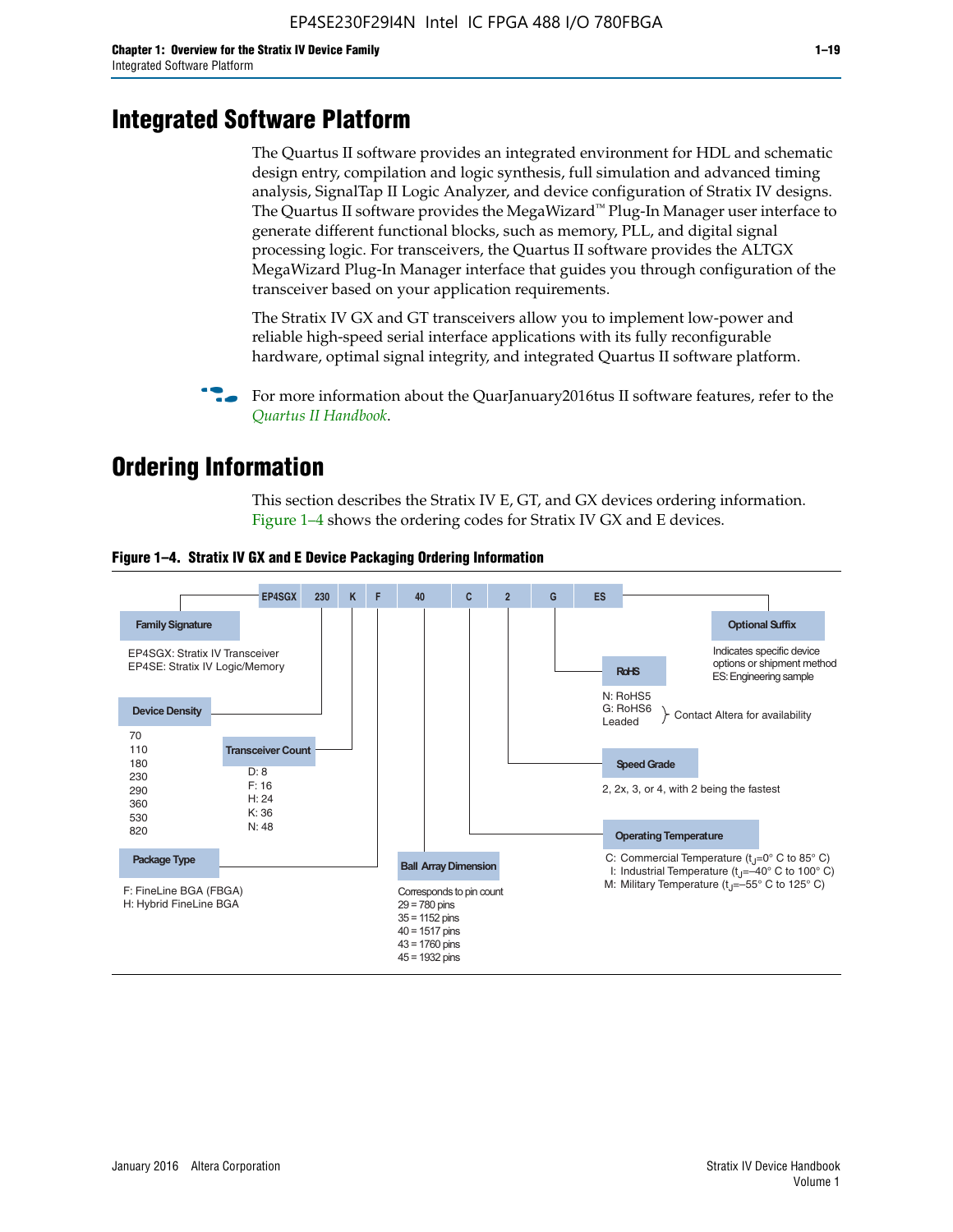# **Integrated Software Platform**

The Quartus II software provides an integrated environment for HDL and schematic design entry, compilation and logic synthesis, full simulation and advanced timing analysis, SignalTap II Logic Analyzer, and device configuration of Stratix IV designs. The Quartus II software provides the MegaWizard<sup> $M$ </sup> Plug-In Manager user interface to generate different functional blocks, such as memory, PLL, and digital signal processing logic. For transceivers, the Quartus II software provides the ALTGX MegaWizard Plug-In Manager interface that guides you through configuration of the transceiver based on your application requirements.

The Stratix IV GX and GT transceivers allow you to implement low-power and reliable high-speed serial interface applications with its fully reconfigurable hardware, optimal signal integrity, and integrated Quartus II software platform.

For more information about the QuarJanuary2016tus II software features, refer to the *[Quartus II Handbook](http://www.altera.com/literature/lit-qts.jsp)*.

# **Ordering Information**

This section describes the Stratix IV E, GT, and GX devices ordering information. Figure 1–4 shows the ordering codes for Stratix IV GX and E devices.



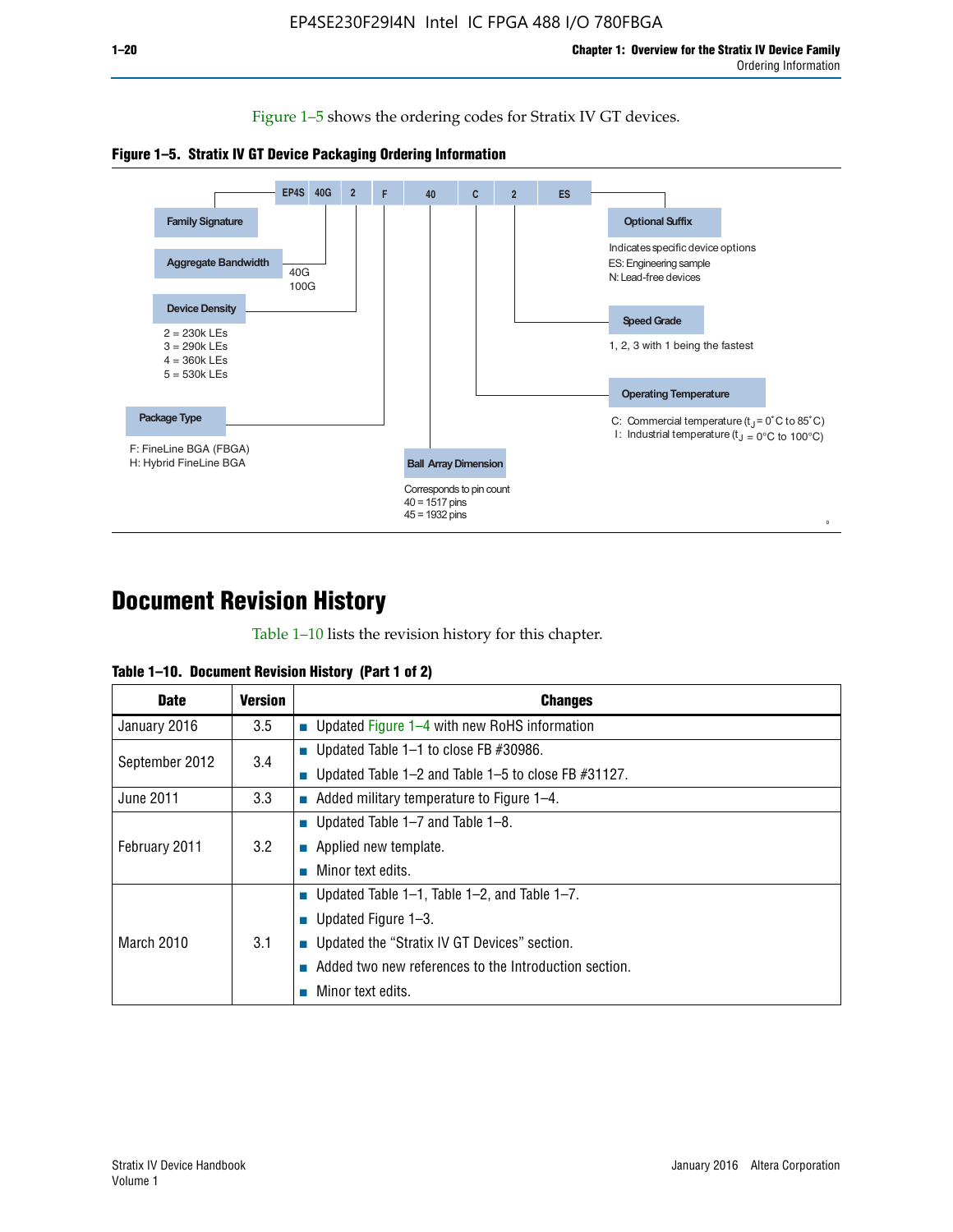Figure 1–5 shows the ordering codes for Stratix IV GT devices.





# **Document Revision History**

Table 1–10 lists the revision history for this chapter.

| Table 1–10. Document Revision History (Part 1 of 2) |  |  |  |  |  |
|-----------------------------------------------------|--|--|--|--|--|
|-----------------------------------------------------|--|--|--|--|--|

| <b>Date</b>       | <b>Version</b> | <b>Changes</b>                                              |
|-------------------|----------------|-------------------------------------------------------------|
| January 2016      | 3.5            | ■ Updated Figure 1–4 with new RoHS information              |
| September 2012    | 3.4            | ■ Updated Table 1–1 to close FB $#30986$ .                  |
|                   |                | Updated Table $1-2$ and Table $1-5$ to close FB $\#31127$ . |
| June 2011         | 3.3            | $\blacksquare$ Added military temperature to Figure 1–4.    |
|                   |                | ■ Updated Table 1–7 and Table 1–8.                          |
| February 2011     | 3.2            | $\blacksquare$ Applied new template.                        |
|                   |                | Minor text edits.                                           |
|                   |                | <b>Updated Table 1–1, Table 1–2, and Table 1–7.</b>         |
| <b>March 2010</b> |                | <b>U</b> Updated Figure 1–3.                                |
|                   | 3.1            | ■ Updated the "Stratix IV GT Devices" section.              |
|                   |                | Added two new references to the Introduction section.       |
|                   |                | Minor text edits.                                           |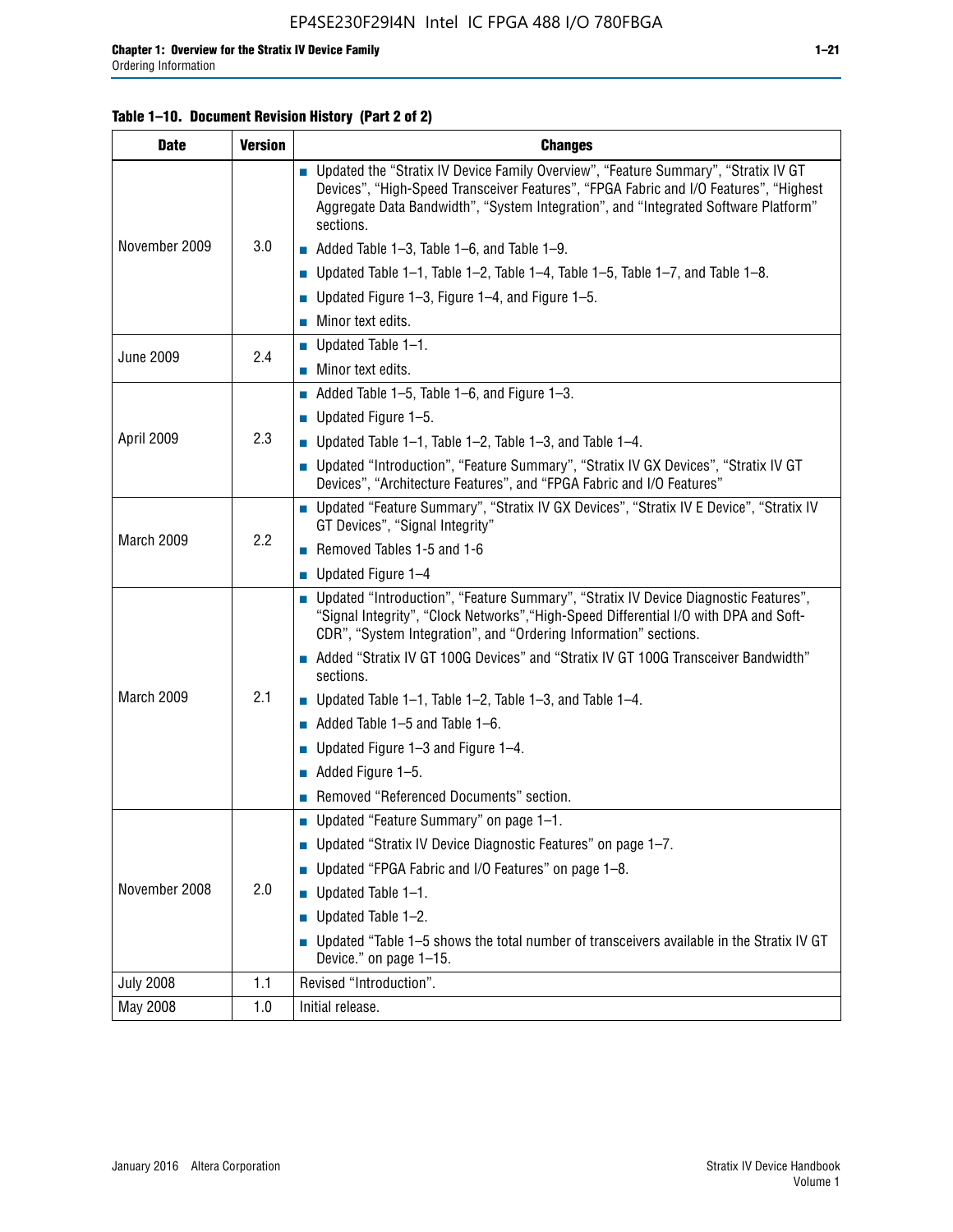#### **Table 1–10. Document Revision History (Part 2 of 2)**

| <b>Date</b>      | <b>Version</b> | <b>Changes</b>                                                                                                                                                                                                                                                                    |  |  |
|------------------|----------------|-----------------------------------------------------------------------------------------------------------------------------------------------------------------------------------------------------------------------------------------------------------------------------------|--|--|
|                  |                | ■ Updated the "Stratix IV Device Family Overview", "Feature Summary", "Stratix IV GT<br>Devices", "High-Speed Transceiver Features", "FPGA Fabric and I/O Features", "Highest<br>Aggregate Data Bandwidth", "System Integration", and "Integrated Software Platform"<br>sections. |  |  |
| November 2009    | 3.0            | $\blacksquare$ Added Table 1-3, Table 1-6, and Table 1-9.                                                                                                                                                                                                                         |  |  |
|                  |                | $\blacksquare$ Updated Table 1-1, Table 1-2, Table 1-4, Table 1-5, Table 1-7, and Table 1-8.                                                                                                                                                                                      |  |  |
|                  |                | ■ Updated Figure 1–3, Figure 1–4, and Figure 1–5.                                                                                                                                                                                                                                 |  |  |
|                  |                | $\blacksquare$ Minor text edits.                                                                                                                                                                                                                                                  |  |  |
|                  | 2.4            | $\blacksquare$ Updated Table 1-1.                                                                                                                                                                                                                                                 |  |  |
| <b>June 2009</b> |                | Minor text edits.                                                                                                                                                                                                                                                                 |  |  |
|                  |                | $\blacksquare$ Added Table 1–5, Table 1–6, and Figure 1–3.                                                                                                                                                                                                                        |  |  |
|                  |                | $\blacksquare$ Updated Figure 1-5.                                                                                                                                                                                                                                                |  |  |
| April 2009       | 2.3            | Updated Table $1-1$ , Table $1-2$ , Table $1-3$ , and Table $1-4$ .                                                                                                                                                                                                               |  |  |
|                  |                | ■ Updated "Introduction", "Feature Summary", "Stratix IV GX Devices", "Stratix IV GT<br>Devices", "Architecture Features", and "FPGA Fabric and I/O Features"                                                                                                                     |  |  |
|                  | 2.2            | ■ Updated "Feature Summary", "Stratix IV GX Devices", "Stratix IV E Device", "Stratix IV<br>GT Devices", "Signal Integrity"                                                                                                                                                       |  |  |
| March 2009       |                | Removed Tables 1-5 and 1-6                                                                                                                                                                                                                                                        |  |  |
|                  |                | Updated Figure 1-4                                                                                                                                                                                                                                                                |  |  |
|                  |                | ■ Updated "Introduction", "Feature Summary", "Stratix IV Device Diagnostic Features",<br>"Signal Integrity", "Clock Networks", "High-Speed Differential I/O with DPA and Soft-<br>CDR", "System Integration", and "Ordering Information" sections.                                |  |  |
|                  |                | Added "Stratix IV GT 100G Devices" and "Stratix IV GT 100G Transceiver Bandwidth"<br>sections.                                                                                                                                                                                    |  |  |
| March 2009       | 2.1            | <b>Updated Table 1–1, Table 1–2, Table 1–3, and Table 1–4.</b>                                                                                                                                                                                                                    |  |  |
|                  |                | $\blacksquare$ Added Table 1-5 and Table 1-6.                                                                                                                                                                                                                                     |  |  |
|                  |                | ■ Updated Figure $1-3$ and Figure $1-4$ .                                                                                                                                                                                                                                         |  |  |
|                  |                | $\blacksquare$ Added Figure 1-5.                                                                                                                                                                                                                                                  |  |  |
|                  |                | Removed "Referenced Documents" section.                                                                                                                                                                                                                                           |  |  |
|                  |                | Updated "Feature Summary" on page 1-1.                                                                                                                                                                                                                                            |  |  |
|                  |                | ■ Updated "Stratix IV Device Diagnostic Features" on page 1-7.                                                                                                                                                                                                                    |  |  |
| November 2008    | 2.0            | Updated "FPGA Fabric and I/O Features" on page 1-8.                                                                                                                                                                                                                               |  |  |
|                  |                | $\blacksquare$ Updated Table 1-1.                                                                                                                                                                                                                                                 |  |  |
|                  |                | Updated Table 1-2.                                                                                                                                                                                                                                                                |  |  |
|                  |                | Updated "Table 1-5 shows the total number of transceivers available in the Stratix IV GT<br>Device." on page 1-15.                                                                                                                                                                |  |  |
| <b>July 2008</b> | 1.1            | Revised "Introduction".                                                                                                                                                                                                                                                           |  |  |
| May 2008         | 1.0            | Initial release.                                                                                                                                                                                                                                                                  |  |  |